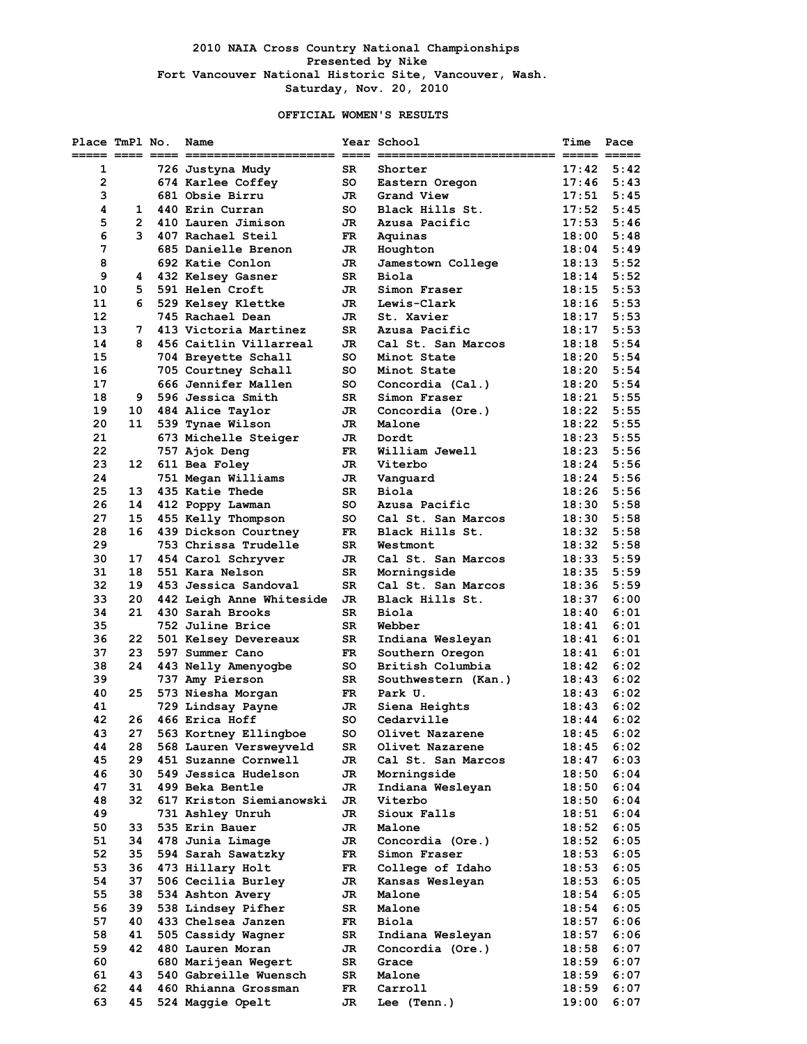### **2010 NAIA Cross Country National Championships Presented by Nike Fort Vancouver National Historic Site, Vancouver, Wash. Saturday, Nov. 20, 2010**

### **OFFICIAL WOMEN'S RESULTS**

| Place TmPl No. |                | Name                                   |           | Year School                 | Time           | Pace         |
|----------------|----------------|----------------------------------------|-----------|-----------------------------|----------------|--------------|
|                |                |                                        |           |                             |                |              |
| 1              |                | 726 Justyna Mudy                       | SR        | Shorter                     | 17:42          | 5:42         |
| $\mathbf{2}$   |                | 674 Karlee Coffey                      | so        | Eastern Oregon              | 17:46          | 5:43         |
| з              |                | 681 Obsie Birru                        | JR.       | Grand View                  | 17:51          | 5:45         |
| 4              | 1              | 440 Erin Curran                        | so        | Black Hills St.             | 17:52          | 5:45         |
| 5              | $\overline{2}$ | 410 Lauren Jimison                     | JR        | Azusa Pacific               | 17:53          | 5:46         |
| 6              | 3              | 407 Rachael Steil                      | FR.       | Aquinas                     | 18:00          | 5:48         |
| 7              |                | 685 Danielle Brenon                    | JR        | Houghton                    | 18:04          | 5:49         |
| 8              |                | 692 Katie Conlon                       | JR        | Jamestown College           | 18:13          | 5:52         |
| 9              | 4              | 432 Kelsey Gasner                      | SR        | <b>Biola</b>                | 18:14          | 5:52<br>5:53 |
| 10             | 5<br>6         | 591 Helen Croft                        | JR        | Simon Fraser<br>Lewis-Clark | 18:15<br>18:16 |              |
| 11<br>12       |                | 529 Kelsey Klettke<br>745 Rachael Dean | JR<br>JR  | St. Xavier                  | 18:17          | 5:53<br>5:53 |
| 13             | 7              | 413 Victoria Martinez                  | <b>SR</b> | Azusa Pacific               | 18:17          | 5:53         |
| 14             | 8              | 456 Caitlin Villarreal                 | JR        | Cal St. San Marcos          | 18:18          | 5:54         |
| 15             |                | 704 Breyette Schall                    | so        | Minot State                 | 18:20          | 5:54         |
| 16             |                | 705 Courtney Schall                    | so        | Minot State                 | 18:20          | 5:54         |
| 17             |                | 666 Jennifer Mallen                    | so        | Concordia (Cal.)            | 18:20          | 5:54         |
| 18             | 9              | 596 Jessica Smith                      | SR        | Simon Fraser                | 18:21          | 5:55         |
| 19             | 10             | 484 Alice Taylor                       | JR        | Concordia (Ore.)            | 18:22          | 5:55         |
| 20             | 11             | 539 Tynae Wilson                       | JR        | Malone                      | 18:22          | 5:55         |
| 21             |                | 673 Michelle Steiger                   | JR        | Dordt                       | 18:23          | 5:55         |
| 22             |                | 757 Ajok Deng                          | FR        | William Jewell              | 18:23          | 5:56         |
| 23             | 12             | 611 Bea Foley                          | JR        | Viterbo                     | 18:24          | 5:56         |
| 24             |                | 751 Megan Williams                     | JR.       | Vanquard                    | 18:24          | 5:56         |
| 25             | 13             | 435 Katie Thede                        | SR        | <b>Biola</b>                | 18:26          | 5:56         |
| 26             | 14             | 412 Poppy Lawman                       | so        | Azusa Pacific               | 18:30          | 5:58         |
| 27             | 15             | 455 Kelly Thompson                     | so        | Cal St. San Marcos          | 18:30          | 5:58         |
| 28             | 16             | 439 Dickson Courtney                   | FR.       | Black Hills St.             | 18:32          | 5:58         |
| 29             |                | 753 Chrissa Trudelle                   | SR        | Westmont                    | 18:32          | 5:58         |
| 30             | 17             | 454 Carol Schryver                     | JR        | Cal St. San Marcos          | 18:33          | 5:59         |
| 31             | 18             | 551 Kara Nelson                        | SR        | Morningside                 | 18:35          | 5:59         |
| 32             | 19             | 453 Jessica Sandoval                   | SR        | Cal St. San Marcos          | 18:36          | 5:59         |
| 33             | 20             | 442 Leigh Anne Whiteside               | JR        | Black Hills St.             | 18:37          | 6:00         |
| 34             | 21             | 430 Sarah Brooks                       | SR        | <b>Biola</b>                | 18:40          | 6:01         |
| 35             |                | 752 Juline Brice                       | SR        | Webber                      | 18:41          | 6:01         |
| 36             | 22             | 501 Kelsey Devereaux                   | SR        | Indiana Wesleyan            | 18:41          | 6:01         |
| 37             | 23             | 597 Summer Cano                        | FR.       | Southern Oregon             | 18:41          | 6:01         |
| 38             | 24             | 443 Nelly Amenyogbe                    | so        | British Columbia            | 18:42          | 6:02         |
| 39             |                | 737 Amy Pierson                        | SR        | Southwestern (Kan.)         | 18:43          | 6:02         |
| 40             | 25             | 573 Niesha Morgan                      | FR        | Park U.                     | 18:43          | 6:02         |
| 41             |                | 729 Lindsay Payne                      | JR        | Siena Heights               | 18:43          | 6:02         |
| 42             | 26             | 466 Erica Hoff                         | so        | Cedarville                  | 18:44          | 6:02         |
| 43             | 27             | 563 Kortney Ellingboe                  | so        | Olivet Nazarene             | 18:45          | 6:02         |
| 44             | 28             | 568 Lauren Versweyveld                 | SR        | Olivet Nazarene             | 18:45          | 6:02         |
| 45             | 29             | 451 Suzanne Cornwell                   | JR        | Cal St. San Marcos          | 18:47          | 6:03         |
| 46             | 30             | 549 Jessica Hudelson                   | JR        | Morningside                 | 18:50          | 6:04         |
| 47             | 31             | 499 Beka Bentle                        | JR        | Indiana Wesleyan            | 18:50          | 6:04         |
| 48             | 32             | 617 Kriston Siemianowski               | JR        | Viterbo                     | 18:50          | 6:04         |
| 49             |                | 731 Ashley Unruh                       | JR        | Sioux Falls                 | 18:51          | 6:04         |
| 50             | 33             | 535 Erin Bauer                         | JR        | Malone                      | 18:52          | 6:05         |
| 51             | 34             | 478 Junia Limage                       | JR        | Concordia (Ore.)            | 18:52          | 6:05         |
| 52             | 35             | 594 Sarah Sawatzky                     | FR        | Simon Fraser                | 18:53          | 6:05         |
| 53             | 36             | 473 Hillary Holt                       | FR        | College of Idaho            | 18:53          | 6:05         |
| 54             | 37             | 506 Cecilia Burley                     | JR        | Kansas Wesleyan             | 18:53          | 6:05         |
| 55             | 38             | 534 Ashton Avery                       | JR        | Malone                      | 18:54          | 6:05         |
| 56             | 39             | 538 Lindsey Pifher                     | SR        | Malone                      | 18:54          | 6:05         |
| 57             | 40             | 433 Chelsea Janzen                     | FR        | Biola                       | 18:57          | 6:06         |
| 58             | 41             | 505 Cassidy Wagner                     | SR        | Indiana Wesleyan            | 18:57          | 6:06         |
| 59             | 42             | 480 Lauren Moran                       | JR        | Concordia (Ore.)            | 18:58          | 6:07         |
| 60             |                | 680 Marijean Wegert                    | SR        | Grace                       | 18:59          | 6:07         |
| 61             | 43             | 540 Gabreille Wuensch                  | SR        | Malone                      | 18:59          | 6:07         |
| 62             | 44             | 460 Rhianna Grossman                   | FR        | Carroll                     | 18:59          | 6:07         |
| 63             | 45             | 524 Maggie Opelt                       | JR        | Lee (Tenn.)                 | 19:00          | 6:07         |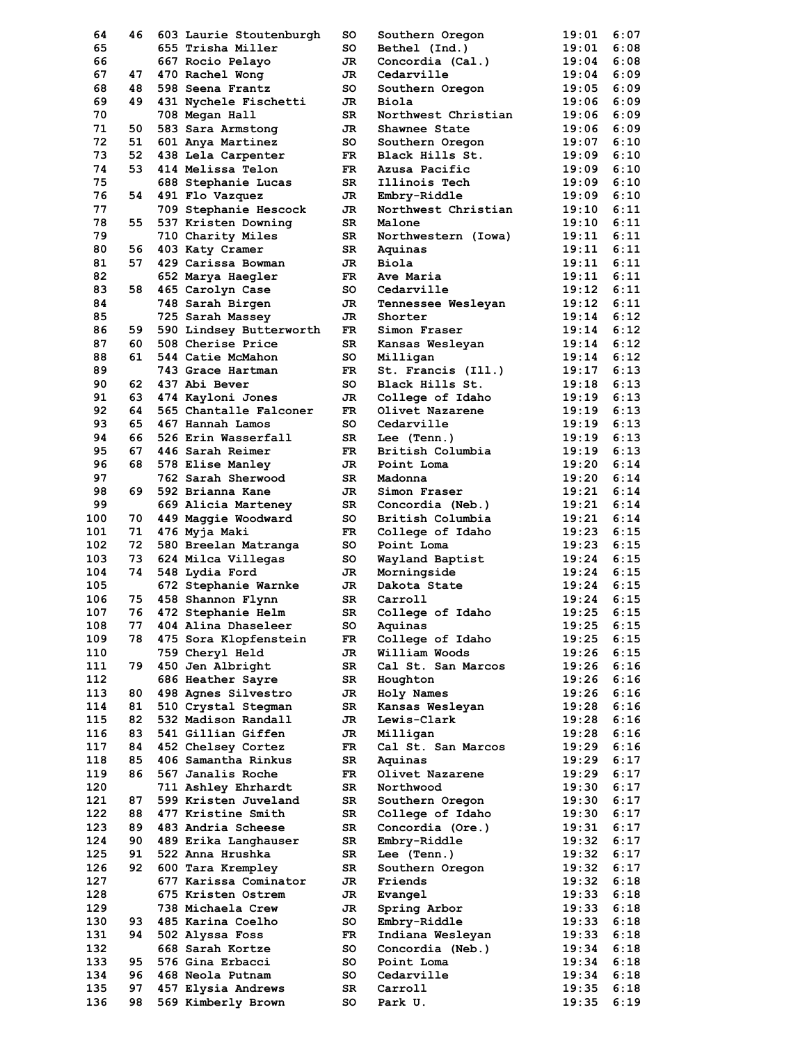| 64  | 46 | 603 Laurie Stoutenburgh | so  | Southern Oregon     | 19:01 | 6:07 |
|-----|----|-------------------------|-----|---------------------|-------|------|
| 65  |    | 655 Trisha Miller       | so  | Bethel (Ind.)       | 19:01 | 6:08 |
| 66  |    | 667 Rocio Pelayo        | JR  | Concordia (Cal.)    | 19:04 | 6:08 |
| 67  | 47 | 470 Rachel Wong         | JR  | Cedarville          | 19:04 | 6:09 |
|     | 48 |                         | so  |                     |       | 6:09 |
| 68  |    | 598 Seena Frantz        |     | Southern Oregon     | 19:05 |      |
| 69  | 49 | 431 Nychele Fischetti   | JR  | Biola               | 19:06 | 6:09 |
| 70  |    | 708 Megan Hall          | SR  | Northwest Christian | 19:06 | 6:09 |
| 71  | 50 | 583 Sara Armstong       | JR  | Shawnee State       | 19:06 | 6:09 |
| 72  | 51 | 601 Anya Martinez       | so  | Southern Oregon     | 19:07 | 6:10 |
| 73  | 52 | 438 Lela Carpenter      | FR. | Black Hills St.     | 19:09 | 6:10 |
| 74  | 53 | 414 Melissa Telon       | FR. | Azusa Pacific       | 19:09 | 6:10 |
|     |    |                         |     |                     |       |      |
| 75  |    | 688 Stephanie Lucas     | SR  | Illinois Tech       | 19:09 | 6:10 |
| 76  | 54 | 491 Flo Vazquez         | JR  | Embry-Riddle        | 19:09 | 6:10 |
| 77  |    | 709 Stephanie Hescock   | JR  | Northwest Christian | 19:10 | 6:11 |
| 78  | 55 | 537 Kristen Downing     | SR  | Malone              | 19:10 | 6:11 |
| 79  |    | 710 Charity Miles       | SR  | Northwestern (Iowa) | 19:11 | 6:11 |
| 80  | 56 | 403 Katy Cramer         | SR  | Aquinas             | 19:11 | 6:11 |
|     |    |                         |     |                     |       |      |
| 81  | 57 | 429 Carissa Bowman      | JR. | Biola               | 19:11 | 6:11 |
| 82  |    | 652 Marya Haegler       | FR. | Ave Maria           | 19:11 | 6:11 |
| 83  | 58 | 465 Carolyn Case        | so  | Cedarville          | 19:12 | 6:11 |
| 84  |    | 748 Sarah Birgen        | JR  | Tennessee Wesleyan  | 19:12 | 6:11 |
| 85  |    | 725 Sarah Massey        | JR  | Shorter             | 19:14 | 6:12 |
|     |    |                         |     |                     | 19:14 | 6:12 |
| 86  | 59 | 590 Lindsey Butterworth | FR  | Simon Fraser        |       |      |
| 87  | 60 | 508 Cherise Price       | SR  | Kansas Wesleyan     | 19:14 | 6:12 |
| 88  | 61 | 544 Catie McMahon       | SO  | Milligan            | 19:14 | 6:12 |
| 89  |    | 743 Grace Hartman       | FR. | St. Francis (Ill.)  | 19:17 | 6:13 |
| 90  | 62 | 437 Abi Bever           | so  | Black Hills St.     | 19:18 | 6:13 |
| 91  | 63 | 474 Kayloni Jones       | JR  | College of Idaho    | 19:19 | 6:13 |
| 92  | 64 | 565 Chantalle Falconer  | FR. | Olivet Nazarene     | 19:19 | 6:13 |
|     |    |                         |     |                     |       |      |
| 93  | 65 | 467 Hannah Lamos        | SO  | Cedarville          | 19:19 | 6:13 |
| 94  | 66 | 526 Erin Wasserfall     | SR  | Lee (Tenn.)         | 19:19 | 6:13 |
| 95  | 67 | 446 Sarah Reimer        | FR  | British Columbia    | 19:19 | 6:13 |
| 96  | 68 | 578 Elise Manley        | JR  | Point Loma          | 19:20 | 6:14 |
| 97  |    | 762 Sarah Sherwood      | SR  | Madonna             | 19:20 | 6:14 |
| 98  | 69 |                         | JR. |                     | 19:21 | 6:14 |
|     |    | 592 Brianna Kane        |     | Simon Fraser        |       |      |
| 99  |    | 669 Alicia Marteney     | SR  | Concordia (Neb.)    | 19:21 | 6:14 |
| 100 | 70 | 449 Maggie Woodward     | so  | British Columbia    | 19:21 | 6:14 |
| 101 | 71 | 476 Myja Maki           | FR. | College of Idaho    | 19:23 | 6:15 |
| 102 | 72 | 580 Breelan Matranga    | so  | Point Loma          | 19:23 | 6:15 |
| 103 | 73 | 624 Milca Villegas      | so  | Wayland Baptist     | 19:24 | 6:15 |
| 104 | 74 |                         |     |                     | 19:24 | 6:15 |
|     |    | 548 Lydia Ford          | JR  | Morningside         |       |      |
| 105 |    | 672 Stephanie Warnke    | JR  | Dakota State        | 19:24 | 6:15 |
| 106 | 75 | 458 Shannon Flynn       | SR  | Carroll             | 19:24 | 6:15 |
| 107 | 76 | 472 Stephanie Helm      | SR  | College of Idaho    | 19:25 | 6:15 |
| 108 | 77 | 404 Alina Dhaseleer     | so  | Aquinas             | 19:25 | 6:15 |
| 109 | 78 | 475 Sora Klopfenstein   | FR  | College of Idaho    | 19:25 | 6:15 |
|     |    |                         |     |                     |       |      |
| 110 |    | 759 Cheryl Held         | JR  | William Woods       | 19:26 | 6:15 |
| 111 | 79 | 450 Jen Albright        | SR  | Cal St. San Marcos  | 19:26 | 6:16 |
| 112 |    | 686 Heather Sayre       | SR  | Houghton            | 19:26 | 6:16 |
| 113 | 80 | 498 Agnes Silvestro     | JR  | Holy Names          | 19:26 | 6:16 |
| 114 | 81 | 510 Crystal Stegman     | SR  | Kansas Wesleyan     | 19:28 | 6:16 |
| 115 | 82 | 532 Madison Randall     | JR  | Lewis-Clark         | 19:28 | 6:16 |
| 116 |    | 541 Gillian Giffen      |     |                     |       |      |
|     | 83 |                         | JR  | Milligan            | 19:28 | 6:16 |
| 117 | 84 | 452 Chelsey Cortez      | FR  | Cal St. San Marcos  | 19:29 | 6:16 |
| 118 | 85 | 406 Samantha Rinkus     | SR  | Aquinas             | 19:29 | 6:17 |
| 119 | 86 | 567 Janalis Roche       | FR  | Olivet Nazarene     | 19:29 | 6:17 |
| 120 |    | 711 Ashley Ehrhardt     | SR  | Northwood           | 19:30 | 6:17 |
| 121 | 87 | 599 Kristen Juveland    | SR  | Southern Oregon     | 19:30 | 6:17 |
|     |    |                         |     |                     |       |      |
| 122 | 88 | 477 Kristine Smith      | SR  | College of Idaho    | 19:30 | 6:17 |
| 123 | 89 | 483 Andria Scheese      | SR  | Concordia (Ore.)    | 19:31 | 6:17 |
| 124 | 90 | 489 Erika Langhauser    | SR  | Embry-Riddle        | 19:32 | 6:17 |
| 125 | 91 | 522 Anna Hrushka        | SR  | Lee (Tenn.)         | 19:32 | 6:17 |
| 126 | 92 | 600 Tara Krempley       | SR  | Southern Oregon     | 19:32 | 6:17 |
| 127 |    | 677 Karissa Cominator   | JR  | Friends             | 19:32 | 6:18 |
|     |    |                         |     |                     |       |      |
| 128 |    | 675 Kristen Ostrem      | JR  | Evangel             | 19:33 | 6:18 |
| 129 |    | 738 Michaela Crew       | JR  | Spring Arbor        | 19:33 | 6:18 |
| 130 | 93 | 485 Karina Coelho       | so  | Embry-Riddle        | 19:33 | 6:18 |
| 131 | 94 | 502 Alyssa Foss         | FR  | Indiana Wesleyan    | 19:33 | 6:18 |
| 132 |    | 668 Sarah Kortze        | so  | Concordia (Neb.)    | 19:34 | 6:18 |
| 133 | 95 | 576 Gina Erbacci        | so  | Point Loma          | 19:34 | 6:18 |
|     |    |                         |     |                     |       |      |
| 134 | 96 | 468 Neola Putnam        | so  | Cedarville          | 19:34 | 6:18 |
| 135 | 97 | 457 Elysia Andrews      | SR  | Carroll             | 19:35 | 6:18 |
| 136 | 98 | 569 Kimberly Brown      | so  | Park U.             | 19:35 | 6:19 |
|     |    |                         |     |                     |       |      |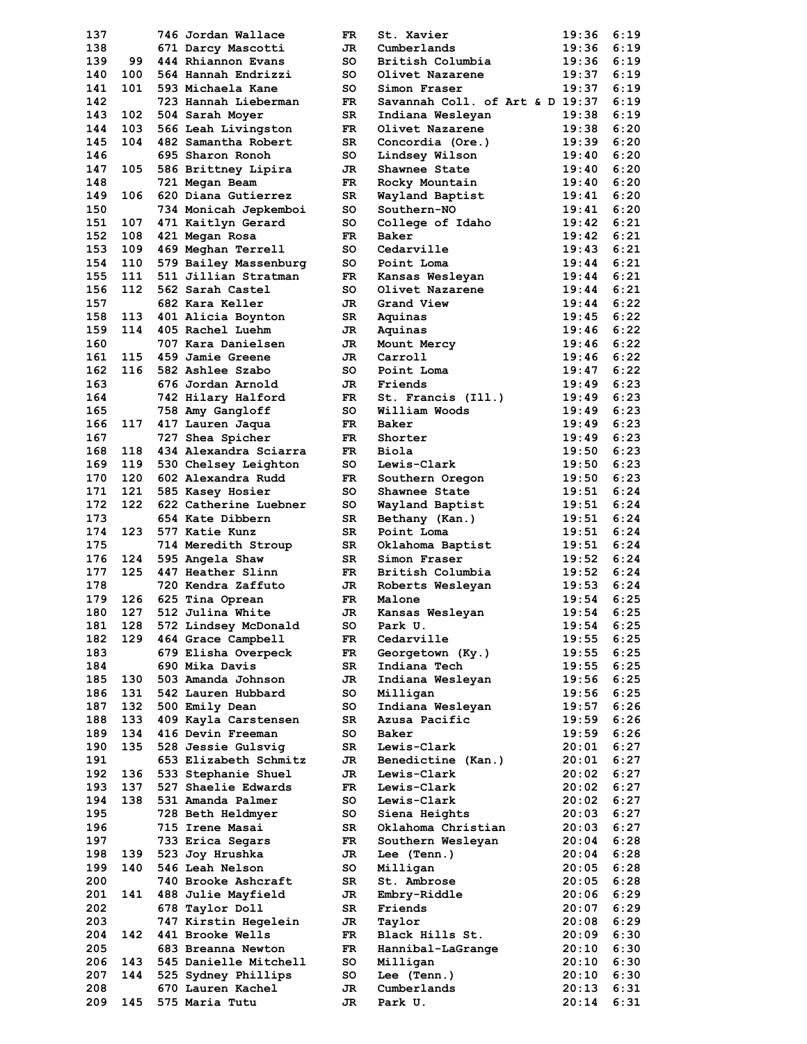| 137 |     | 746 Jordan Wallace     | FR  | St. Xavier                      | 19:36 | 6:19 |
|-----|-----|------------------------|-----|---------------------------------|-------|------|
| 138 |     | 671 Darcy Mascotti     | JR. | Cumberlands                     | 19:36 | 6:19 |
| 139 | 99  | 444 Rhiannon Evans     | so  | British Columbia                | 19:36 | 6:19 |
| 140 | 100 | 564 Hannah Endrizzi    | so  | Olivet Nazarene                 | 19:37 | 6:19 |
| 141 | 101 | 593 Michaela Kane      | so  | Simon Fraser                    | 19:37 | 6:19 |
| 142 |     | 723 Hannah Lieberman   | FR. | Savannah Coll. of Art & D 19:37 |       | 6:19 |
| 143 | 102 | 504 Sarah Moyer        | SR  | Indiana Wesleyan                | 19:38 | 6:19 |
| 144 | 103 | 566 Leah Livingston    | FR. | Olivet Nazarene                 | 19:38 | 6:20 |
| 145 | 104 | 482 Samantha Robert    | SR  | Concordia (Ore.)                | 19:39 | 6:20 |
| 146 |     |                        |     |                                 |       | 6:20 |
|     |     | 695 Sharon Ronoh       | so  | Lindsey Wilson                  | 19:40 |      |
| 147 | 105 | 586 Brittney Lipira    | JR  | Shawnee State                   | 19:40 | 6:20 |
| 148 |     | 721 Megan Beam         | FR  | Rocky Mountain                  | 19:40 | 6:20 |
| 149 | 106 | 620 Diana Gutierrez    | SR  | Wayland Baptist                 | 19:41 | 6:20 |
| 150 |     | 734 Monicah Jepkemboi  | so  | Southern-NO                     | 19:41 | 6:20 |
| 151 | 107 | 471 Kaitlyn Gerard     | so  | College of Idaho                | 19:42 | 6:21 |
| 152 | 108 | 421 Megan Rosa         | FR. | Baker                           | 19:42 | 6:21 |
| 153 |     | 109 469 Meghan Terrell | so  | Cedarville                      | 19:43 | 6:21 |
| 154 | 110 | 579 Bailey Massenburg  | so  | Point Loma                      | 19:44 | 6:21 |
| 155 | 111 | 511 Jillian Stratman   | FR. | Kansas Wesleyan                 | 19:44 | 6:21 |
| 156 | 112 | 562 Sarah Castel       | so  | Olivet Nazarene                 | 19:44 | 6:21 |
| 157 |     | 682 Kara Keller        | JR  | Grand View                      | 19:44 | 6:22 |
| 158 |     | 401 Alicia Boynton     | SR  |                                 | 19:45 | 6:22 |
|     | 113 |                        |     | Aquinas                         |       |      |
| 159 | 114 | 405 Rachel Luehm       | JR  | Aquinas                         | 19:46 | 6:22 |
| 160 |     | 707 Kara Danielsen     | JR  | Mount Mercy                     | 19:46 | 6:22 |
| 161 | 115 | 459 Jamie Greene       | JR  | Carroll                         | 19:46 | 6:22 |
| 162 | 116 | 582 Ashlee Szabo       | so  | Point Loma                      | 19:47 | 6:22 |
| 163 |     | 676 Jordan Arnold      | JR. | Friends                         | 19:49 | 6:23 |
| 164 |     | 742 Hilary Halford     | FR  | St. Francis (Ill.)              | 19:49 | 6:23 |
| 165 |     | 758 Amy Gangloff       | so  | William Woods                   | 19:49 | 6:23 |
| 166 | 117 | 417 Lauren Jaqua       | FR. | Baker                           | 19:49 | 6:23 |
| 167 |     | 727 Shea Spicher       | FR. | Shorter                         | 19:49 | 6:23 |
| 168 | 118 | 434 Alexandra Sciarra  | FR  | Biola                           | 19:50 | 6:23 |
| 169 | 119 | 530 Chelsey Leighton   | so  | <b>Lewis-Clark</b>              | 19:50 | 6:23 |
| 170 | 120 | 602 Alexandra Rudd     | FR  | Southern Oregon                 | 19:50 | 6:23 |
| 171 | 121 |                        | so  |                                 | 19:51 | 6:24 |
|     |     | 585 Kasey Hosier       |     | Shawnee State                   |       |      |
| 172 | 122 | 622 Catherine Luebner  | so  | Wayland Baptist                 | 19:51 | 6:24 |
| 173 |     | 654 Kate Dibbern       | SR  | Bethany (Kan.)                  | 19:51 | 6:24 |
| 174 | 123 | 577 Katie Kunz         | SR  | Point Loma                      | 19:51 | 6:24 |
| 175 |     | 714 Meredith Stroup    | SR  | Oklahoma Baptist                | 19:51 | 6:24 |
| 176 | 124 | 595 Angela Shaw        | SR  | Simon Fraser                    | 19:52 | 6:24 |
| 177 | 125 | 447 Heather Slinn      | FR. | British Columbia                | 19:52 | 6:24 |
| 178 |     | 720 Kendra Zaffuto     | JR. | Roberts Wesleyan                | 19:53 | 6:24 |
| 179 | 126 | 625 Tina Oprean        | FR. | Malone                          | 19:54 | 6:25 |
| 180 | 127 | 512 Julina White       | JR  | Kansas Wesleyan                 | 19:54 | 6:25 |
| 181 | 128 | 572 Lindsey McDonald   | so  | Park U.                         | 19:54 | 6:25 |
| 182 | 129 | 464 Grace Campbell     | FR  | Cedarville                      | 19:55 | 6:25 |
| 183 |     | 679 Elisha Overpeck    |     |                                 | 19:55 | 6:25 |
|     |     |                        | FR  | Georgetown (Ky.)                |       | 6:25 |
| 184 |     | 690 Mika Davis         | SR  | Indiana Tech                    | 19:55 |      |
| 185 | 130 | 503 Amanda Johnson     | JR  | Indiana Wesleyan                | 19:56 | 6:25 |
| 186 | 131 | 542 Lauren Hubbard     | so  | Milligan                        | 19:56 | 6:25 |
| 187 | 132 | 500 Emily Dean         | so  | Indiana Wesleyan                | 19:57 | 6:26 |
| 188 | 133 | 409 Kayla Carstensen   | SR  | Azusa Pacific                   | 19:59 | 6:26 |
| 189 | 134 | 416 Devin Freeman      | so  | Baker                           | 19:59 | 6:26 |
| 190 | 135 | 528 Jessie Gulsvig     | SR  | Lewis-Clark                     | 20:01 | 6:27 |
| 191 |     | 653 Elizabeth Schmitz  | JR  | Benedictine (Kan.)              | 20:01 | 6:27 |
| 192 | 136 | 533 Stephanie Shuel    | JR  | Lewis-Clark                     | 20:02 | 6:27 |
| 193 | 137 | 527 Shaelie Edwards    | FR  | Lewis-Clark                     | 20:02 | 6:27 |
| 194 | 138 | 531 Amanda Palmer      | so  | Lewis-Clark                     | 20:02 | 6:27 |
| 195 |     | 728 Beth Heldmyer      | so  | Siena Heights                   | 20:03 | 6:27 |
|     |     |                        |     |                                 |       |      |
| 196 |     | 715 Irene Masai        | SR  | Oklahoma Christian              | 20:03 | 6:27 |
| 197 |     | 733 Erica Segars       | FR  | Southern Wesleyan               | 20:04 | 6:28 |
| 198 |     | 139 523 Joy Hrushka    | JR  | Lee (Tenn.)                     | 20:04 | 6:28 |
| 199 | 140 | 546 Leah Nelson        | so  | Milligan                        | 20:05 | 6:28 |
| 200 |     | 740 Brooke Ashcraft    | SR  | St. Ambrose                     | 20:05 | 6:28 |
| 201 | 141 | 488 Julie Mayfield     | JR  | Embry-Riddle                    | 20:06 | 6:29 |
| 202 |     | 678 Taylor Doll        | SR  | Friends                         | 20:07 | 6:29 |
| 203 |     | 747 Kirstin Hegelein   | JR  | Taylor                          | 20:08 | 6:29 |
| 204 | 142 | 441 Brooke Wells       | FR  | Black Hills St.                 | 20:09 | 6:30 |
| 205 |     | 683 Breanna Newton     | FR  | Hannibal-LaGrange               | 20:10 | 6:30 |
| 206 | 143 | 545 Danielle Mitchell  | so  | Milligan                        | 20:10 | 6:30 |
| 207 | 144 | 525 Sydney Phillips    | so  | Lee (Tenn.)                     | 20:10 | 6:30 |
|     |     |                        |     |                                 |       |      |
| 208 |     | 670 Lauren Kachel      | JR  | Cumberlands                     | 20:13 | 6:31 |
| 209 | 145 | 575 Maria Tutu         | JR  | Park U.                         | 20:14 | 6:31 |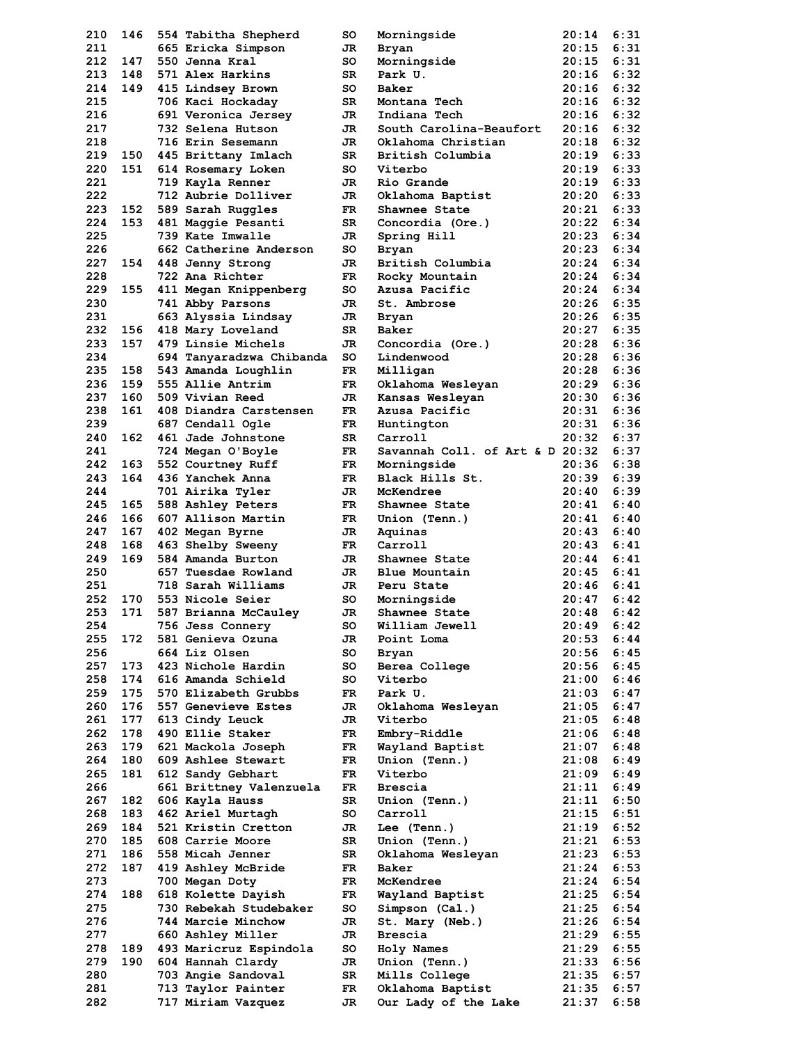| 210 | 146 | 554 Tabitha Shepherd     | so  | Morningside                     | 20:14 | 6:31 |
|-----|-----|--------------------------|-----|---------------------------------|-------|------|
| 211 |     | 665 Ericka Simpson       | JR  | Bryan                           | 20:15 | 6:31 |
| 212 | 147 | 550 Jenna Kral           | so  | Morningside                     | 20:15 | 6:31 |
| 213 | 148 | 571 Alex Harkins         | SR  | Park U.                         | 20:16 | 6:32 |
| 214 | 149 | 415 Lindsey Brown        | so  | Baker                           | 20:16 | 6:32 |
| 215 |     | 706 Kaci Hockaday        | SR  | Montana Tech                    | 20:16 | 6:32 |
| 216 |     | 691 Veronica Jersey      | JR. | Indiana Tech                    | 20:16 | 6:32 |
| 217 |     | 732 Selena Hutson        | JR  | South Carolina-Beaufort         | 20:16 | 6:32 |
| 218 |     | 716 Erin Sesemann        | JR  | Oklahoma Christian              | 20:18 | 6:32 |
| 219 | 150 | 445 Brittany Imlach      | SR  | British Columbia                | 20:19 | 6:33 |
| 220 | 151 | 614 Rosemary Loken       | so  | Viterbo                         | 20:19 | 6:33 |
| 221 |     | 719 Kayla Renner         | JR. | Rio Grande                      | 20:19 | 6:33 |
| 222 |     | 712 Aubrie Dolliver      | JR  | Oklahoma Baptist                | 20:20 | 6:33 |
| 223 | 152 | 589 Sarah Ruggles        | FR. | Shawnee State                   | 20:21 | 6:33 |
| 224 | 153 | 481 Maggie Pesanti       | SR  | Concordia (Ore.)                | 20:22 | 6:34 |
| 225 |     | 739 Kate Imwalle         | JR  | Spring Hill                     | 20:23 | 6:34 |
| 226 |     | 662 Catherine Anderson   | so  | Bryan                           | 20:23 | 6:34 |
| 227 | 154 | 448 Jenny Strong         | JR. | British Columbia                | 20:24 | 6:34 |
| 228 |     | 722 Ana Richter          | FR. | Rocky Mountain                  | 20:24 | 6:34 |
| 229 | 155 | 411 Megan Knippenberg    | so  | Azusa Pacific                   | 20:24 | 6:34 |
| 230 |     | 741 Abby Parsons         | JR  | St. Ambrose                     | 20:26 | 6:35 |
| 231 |     | 663 Alyssia Lindsay      | JR  | Bryan                           | 20:26 | 6:35 |
| 232 | 156 | 418 Mary Loveland        | SR  | Baker                           | 20:27 | 6:35 |
| 233 | 157 | 479 Linsie Michels       | JR. | Concordia (Ore.)                | 20:28 | 6:36 |
| 234 |     | 694 Tanyaradzwa Chibanda | so  | Lindenwood                      | 20:28 | 6:36 |
| 235 | 158 | 543 Amanda Loughlin      | FR. | Milligan                        | 20:28 | 6:36 |
| 236 | 159 | 555 Allie Antrim         | FR  | Oklahoma Wesleyan               | 20:29 | 6:36 |
| 237 | 160 | 509 Vivian Reed          | JR  | Kansas Wesleyan                 | 20:30 | 6:36 |
| 238 | 161 | 408 Diandra Carstensen   | FR. | Azusa Pacific                   | 20:31 | 6:36 |
| 239 |     | 687 Cendall Ogle         | FR  | Huntington                      | 20:31 | 6:36 |
| 240 | 162 | 461 Jade Johnstone       | SR  | Carroll                         | 20:32 | 6:37 |
| 241 |     | 724 Megan O'Boyle        | FR. | Savannah Coll. of Art & D 20:32 |       | 6:37 |
| 242 | 163 | 552 Courtney Ruff        | FR. | Morningside                     | 20:36 | 6:38 |
| 243 | 164 | 436 Yanchek Anna         | FR. | Black Hills St.                 | 20:39 | 6:39 |
| 244 |     | 701 Airika Tyler         | JR  | McKendree                       | 20:40 | 6:39 |
| 245 | 165 | 588 Ashley Peters        | FR. | Shawnee State                   | 20:41 | 6:40 |
| 246 | 166 | 607 Allison Martin       | FR. | Union (Tenn.)                   | 20:41 | 6:40 |
| 247 | 167 | 402 Megan Byrne          | JR  | Aquinas                         | 20:43 | 6:40 |
| 248 | 168 | 463 Shelby Sweeny        | FR. | Carroll                         | 20:43 | 6:41 |
| 249 | 169 | 584 Amanda Burton        | JR  | Shawnee State                   | 20:44 | 6:41 |
| 250 |     | 657 Tuesdae Rowland      | JR  | Blue Mountain                   | 20:45 | 6:41 |
| 251 |     | 718 Sarah Williams       | JR. | Peru State                      | 20:46 | 6:41 |
| 252 | 170 | 553 Nicole Seier         | so  | Morningside                     | 20:47 | 6:42 |
| 253 | 171 | 587 Brianna McCaulev     | JR  | Shawnee State                   | 20:48 | 6:42 |
| 254 |     | 756 Jess Connery         | so  | William Jewell                  | 20:49 | 6:42 |
| 255 | 172 | 581 Genieva Ozuna        | JR  | Point Loma                      | 20:53 | 6:44 |
| 256 |     | 664 Liz Olsen            | so  | Bryan                           | 20:56 | 6:45 |
| 257 | 173 | 423 Nichole Hardin       | so  | Berea College                   | 20:56 | 6:45 |
| 258 | 174 | 616 Amanda Schield       | so  | Viterbo                         | 21:00 | 6:46 |
| 259 | 175 | 570 Elizabeth Grubbs     | FR  | Park U.                         | 21:03 | 6:47 |
| 260 | 176 | 557 Genevieve Estes      | JR  | Oklahoma Wesleyan               | 21:05 | 6:47 |
| 261 | 177 | 613 Cindy Leuck          | JR  | Viterbo                         | 21:05 | 6:48 |
| 262 | 178 | 490 Ellie Staker         | FR  | Embry-Riddle                    | 21:06 | 6:48 |
| 263 | 179 | 621 Mackola Joseph       | FR  | Wayland Baptist                 | 21:07 | 6:48 |
| 264 | 180 | 609 Ashlee Stewart       | FR  | Union (Tenn.)                   | 21:08 | 6:49 |
| 265 | 181 | 612 Sandy Gebhart        | FR. | Viterbo                         | 21:09 | 6:49 |
| 266 |     | 661 Brittney Valenzuela  | FR  | Brescia                         | 21:11 | 6:49 |
| 267 | 182 | 606 Kayla Hauss          | SR  | Union (Tenn.)                   | 21:11 | 6:50 |
| 268 | 183 | 462 Ariel Murtagh        | so  | Carroll                         | 21:15 | 6:51 |
| 269 | 184 | 521 Kristin Cretton      | JR  | Lee (Tenn.)                     | 21:19 | 6:52 |
| 270 | 185 | 608 Carrie Moore         | SR  | Union (Tenn.)                   | 21:21 | 6:53 |
| 271 | 186 | 558 Micah Jenner         | SR  | Oklahoma Wesleyan               | 21:23 | 6:53 |
| 272 | 187 | 419 Ashley McBride       | FR  | Baker                           | 21:24 | 6:53 |
| 273 |     | 700 Megan Doty           | FR  | McKendree                       | 21:24 | 6:54 |
| 274 | 188 | 618 Kolette Dayish       | FR  | Wayland Baptist                 | 21:25 | 6:54 |
| 275 |     | 730 Rebekah Studebaker   | so  | Simpson (Cal.)                  | 21:25 | 6:54 |
| 276 |     | 744 Marcie Minchow       | JR  | St. Mary (Neb.)                 | 21:26 | 6:54 |
| 277 |     | 660 Ashley Miller        | JR  | Brescia                         | 21:29 | 6:55 |
| 278 | 189 | 493 Maricruz Espindola   | so  | Holy Names                      | 21:29 | 6:55 |
| 279 | 190 | 604 Hannah Clardy        | JR  | Union (Tenn.)                   | 21:33 | 6:56 |
| 280 |     | 703 Angie Sandoval       | SR  | Mills College                   | 21:35 | 6:57 |
| 281 |     | 713 Taylor Painter       | FR  | Oklahoma Baptist                | 21:35 | 6:57 |
| 282 |     | 717 Miriam Vazquez       | JR  | Our Lady of the Lake            | 21:37 | 6:58 |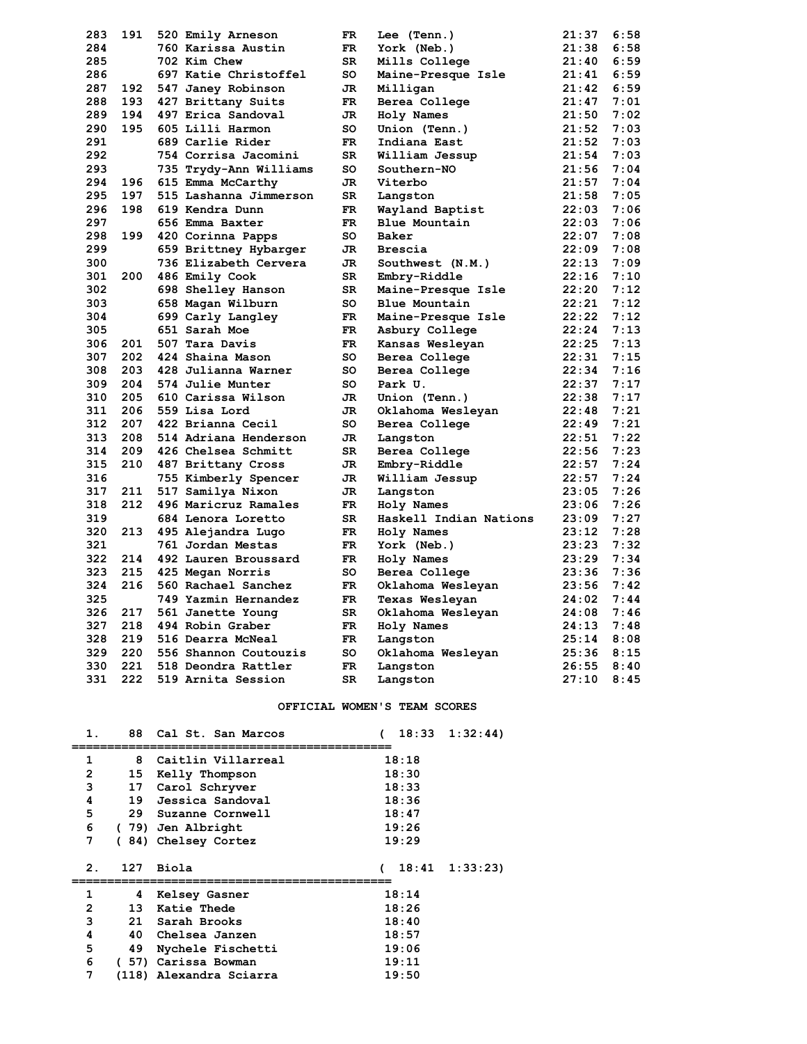| 283 | 191 | 520 Emily Arneson      | FR        | Lee (Tenn.)            | 21:37 | 6:58 |
|-----|-----|------------------------|-----------|------------------------|-------|------|
| 284 |     | 760 Karissa Austin     | <b>FR</b> | York (Neb.)            | 21:38 | 6:58 |
| 285 |     | 702 Kim Chew           | SR.       | Mills College          | 21:40 | 6:59 |
| 286 |     | 697 Katie Christoffel  | so        | Maine-Presque Isle     | 21:41 | 6:59 |
| 287 | 192 | 547 Janey Robinson     | JR        | Milligan               | 21:42 | 6:59 |
| 288 | 193 | 427 Brittany Suits     | FR        | Berea College          | 21:47 | 7:01 |
| 289 | 194 | 497 Erica Sandoval     | JR        | Holy Names             | 21:50 | 7:02 |
| 290 | 195 | 605 Lilli Harmon       | so        | Union (Tenn.)          | 21:52 | 7:03 |
| 291 |     | 689 Carlie Rider       | FR.       | Indiana East           | 21:52 | 7:03 |
| 292 |     | 754 Corrisa Jacomini   | SR        | William Jessup         | 21:54 | 7:03 |
| 293 |     | 735 Trydy-Ann Williams | so        | Southern-NO            | 21:56 | 7:04 |
| 294 | 196 | 615 Emma McCarthy      | JR        | Viterbo                | 21:57 | 7:04 |
| 295 | 197 | 515 Lashanna Jimmerson | SR        | Langston               | 21:58 | 7:05 |
| 296 | 198 | 619 Kendra Dunn        | FR        | Wayland Baptist        | 22:03 | 7:06 |
| 297 |     | 656 Emma Baxter        | FR        | Blue Mountain          | 22:03 | 7:06 |
| 298 | 199 | 420 Corinna Papps      | so        | Baker                  | 22:07 | 7:08 |
| 299 |     | 659 Brittney Hybarger  | JR        | Brescia                | 22:09 | 7:08 |
| 300 |     | 736 Elizabeth Cervera  | JR        | Southwest (N.M.)       | 22:13 | 7:09 |
| 301 | 200 | 486 Emily Cook         | SR        | Embry-Riddle           | 22:16 | 7:10 |
| 302 |     | 698 Shelley Hanson     | SR        | Maine-Presque Isle     | 22:20 | 7:12 |
| 303 |     | 658 Magan Wilburn      | so        | Blue Mountain          | 22:21 | 7:12 |
| 304 |     | 699 Carly Langley      | FR        | Maine-Presque Isle     | 22:22 | 7:12 |
| 305 |     | 651 Sarah Moe          | FR        | Asbury College         | 22:24 | 7:13 |
| 306 | 201 | 507 Tara Davis         | FR        | Kansas Wesleyan        | 22:25 | 7:13 |
| 307 | 202 | 424 Shaina Mason       | so        | Berea College          | 22:31 | 7:15 |
| 308 | 203 | 428 Julianna Warner    | so        | Berea College          | 22:34 | 7:16 |
| 309 | 204 | 574 Julie Munter       | so        | Park U.                | 22:37 | 7:17 |
| 310 | 205 | 610 Carissa Wilson     | JR        | Union (Tenn.)          | 22:38 | 7:17 |
| 311 | 206 | 559 Lisa Lord          | JR        | Oklahoma Wesleyan      | 22:48 | 7:21 |
| 312 | 207 | 422 Brianna Cecil      | so        | Berea College          | 22:49 | 7:21 |
| 313 | 208 | 514 Adriana Henderson  | JR        | Langston               | 22:51 | 7:22 |
| 314 | 209 | 426 Chelsea Schmitt    | SR        | Berea College          | 22:56 | 7:23 |
| 315 | 210 | 487 Brittany Cross     | JR        | Embry-Riddle           | 22:57 | 7:24 |
| 316 |     | 755 Kimberly Spencer   | JR        | William Jessup         | 22:57 | 7:24 |
| 317 | 211 | 517 Samilya Nixon      | JR        | Langston               | 23:05 | 7:26 |
| 318 | 212 | 496 Maricruz Ramales   | FR        | Holy Names             | 23:06 | 7:26 |
| 319 |     | 684 Lenora Loretto     | SR        | Haskell Indian Nations | 23:09 | 7:27 |
| 320 | 213 | 495 Alejandra Lugo     | FR        | Holy Names             | 23:12 | 7:28 |
| 321 |     | 761 Jordan Mestas      | FR        | York (Neb.)            | 23:23 | 7:32 |
| 322 | 214 | 492 Lauren Broussard   | <b>FR</b> | Holy Names             | 23:29 | 7:34 |
| 323 | 215 | 425 Megan Norris       | so        | Berea College          | 23:36 | 7:36 |
| 324 | 216 | 560 Rachael Sanchez    | FR.       | Oklahoma Wesleyan      | 23:56 | 7:42 |
| 325 |     | 749 Yazmin Hernandez   | FR.       | Texas Wesleyan         | 24:02 | 7:44 |
| 326 | 217 | 561 Janette Young      | SR        | Oklahoma Wesleyan      | 24:08 | 7:46 |
| 327 | 218 | 494 Robin Graber       | FR        | Holy Names             | 24:13 | 7:48 |
| 328 | 219 | 516 Dearra McNeal      | FR        | Langston               | 25:14 | 8:08 |
| 329 | 220 | 556 Shannon Coutouzis  | so        | Oklahoma Wesleyan      | 25:36 | 8:15 |
| 330 | 221 | 518 Deondra Rattler    | <b>FR</b> | Langston               | 26:55 | 8:40 |
| 331 | 222 | 519 Arnita Session     | SR        | Langston               | 27:10 | 8:45 |

#### **OFFICIAL WOMEN'S TEAM SCORES**

| 1.             | 88   | Cal St. San Marcos   | 1:32:44<br>18:33      |
|----------------|------|----------------------|-----------------------|
|                |      |                      |                       |
| 1              | 8    | Caitlin Villarreal   | 18:18                 |
| $\overline{2}$ | 15   | Kelly Thompson       | 18:30                 |
| 3              | 17   | Carol Schryver       | 18:33                 |
| 4              |      | 19 Jessica Sandoval  | 18:36                 |
| 5              | 29   | Suzanne Cornwell     | 18:47                 |
| 6              |      | (79) Jen Albright    | 19:26                 |
| 7              |      | (84) Chelsey Cortez  | 19:29                 |
|                |      |                      |                       |
|                |      |                      |                       |
| $\mathbf{2}$ . | 127  | Biola                | $18:41 \quad 1:33:23$ |
|                |      |                      |                       |
| 1              | 4    | <b>Kelsey Gasner</b> | 18:14                 |
| 2              | 13   | <b>Katie Thede</b>   | 18:26                 |
| 3              |      | 21 Sarah Brooks      | 18:40                 |
| 4              | 40   | Chelsea Janzen       | 18:57                 |
| 5              | 49   | Nychele Fischetti    | 19:06                 |
| 6              | (57) | Carissa Bowman       | 19:11                 |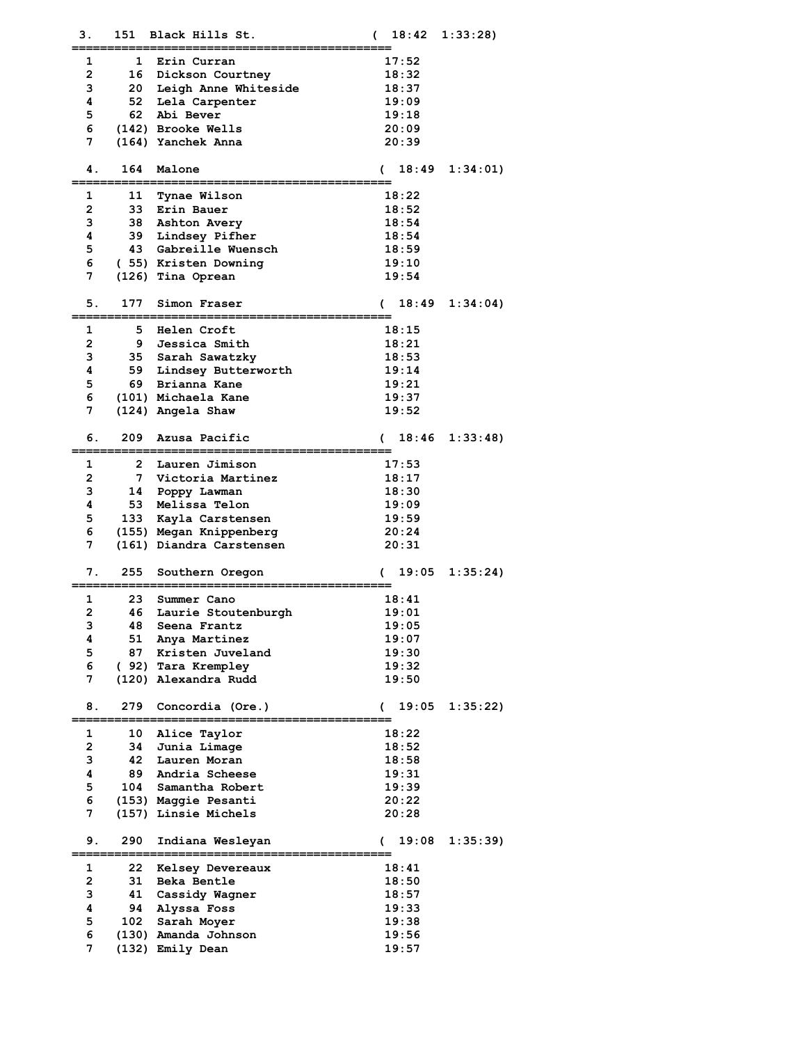| З.             |              | 151 Black Hills St.                             | €          |       | $18:42 \quad 1:33:28$ |
|----------------|--------------|-------------------------------------------------|------------|-------|-----------------------|
| 1              | 1            | Erin Curran                                     |            | 17:52 |                       |
| 2              | 16           | Dickson Courtney                                |            | 18:32 |                       |
| з              |              | 20 Leigh Anne Whiteside                         |            | 18:37 |                       |
| 4              | 52           | Lela Carpenter                                  |            | 19:09 |                       |
| 5              |              | 62 Abi Bever                                    |            | 19:18 |                       |
| 6              |              | (142) Brooke Wells                              |            | 20:09 |                       |
| 7              |              | (164) Yanchek Anna                              |            | 20:39 |                       |
|                |              |                                                 |            |       |                       |
| 4.             | 164          | Malone                                          | (          | 18:49 | 1:34:01)              |
| 1              | 11           | Tynae Wilson                                    |            | 18:22 |                       |
| 2              |              | 33 Erin Bauer                                   |            | 18:52 |                       |
| з              |              | 38 Ashton Avery                                 |            | 18:54 |                       |
| 4              |              | 39 Lindsey Pifher                               |            | 18:54 |                       |
| 5              |              | 43 Gabreille Wuensch                            |            | 18:59 |                       |
| 6              |              | (55) Kristen Downing                            |            | 19:10 |                       |
| 7              |              | (126) Tina Oprean                               |            | 19:54 |                       |
|                |              |                                                 |            |       |                       |
| 5.             | 177          | Simon Fraser                                    | C          | 18:49 | 1:34:04               |
| 1              | 5.           | Helen Croft                                     |            | 18:15 |                       |
| $\mathbf{2}$   | 9            | Jessica Smith                                   |            | 18:21 |                       |
| з              |              | 35 Sarah Sawatzky                               |            | 18:53 |                       |
| 4              |              | 59 Lindsey Butterworth                          |            | 19:14 |                       |
| 5              | 69           | Brianna Kane                                    |            | 19:21 |                       |
| 6              |              | (101) Michaela Kane                             |            | 19:37 |                       |
| 7              |              | (124) Angela Shaw                               |            | 19:52 |                       |
|                |              |                                                 |            |       |                       |
| б.             | 209          | Azusa Pacific                                   | (          | 18:46 | 1:33:48               |
| 1              | $\mathbf{2}$ | Lauren Jimison                                  |            | 17:53 |                       |
| 2              | $7^{\circ}$  | Victoria Martinez                               |            | 18:17 |                       |
| з              |              | 14 Poppy Lawman                                 |            | 18:30 |                       |
| 4              |              | 53 Melissa Telon                                |            | 19:09 |                       |
| 5              |              | 133 Kayla Carstensen                            |            | 19:59 |                       |
|                |              |                                                 |            |       |                       |
| 6              |              | (155) Megan Knippenberg                         |            | 20:24 |                       |
| 7              |              | (161) Diandra Carstensen                        |            | 20:31 |                       |
| 7.             | 255          | Southern Oregon                                 | €          | 19:05 | 1:35:24               |
| 1              | 23.          | Summer Cano                                     |            | 18:41 |                       |
| 2              |              | 46 Laurie Stoutenburgh                          |            | 19:01 |                       |
| з              | 48           | Seena Frantz                                    |            | 19:05 |                       |
| 4              |              | 51 Anya Martinez                                |            | 19:07 |                       |
| 5              |              | 87 Kristen Juveland                             |            | 19:30 |                       |
| 6              |              | ( 92) Tara Krempley                             |            | 19:32 |                       |
| 7              |              | (120) Alexandra Rudd                            |            | 19:50 |                       |
|                |              |                                                 |            |       |                       |
| 8.             | 279          | Concordia (Ore.)<br>==================          | $\epsilon$ | 19:05 | 1:35:22               |
| 1              | 10           | Alice Taylor                                    |            | 18:22 |                       |
| $\overline{a}$ |              | 34 Junia Limage                                 |            | 18:52 |                       |
| з              | 42           | Lauren Moran                                    |            | 18:58 |                       |
| 4              | 89           | Andria Scheese                                  |            | 19:31 |                       |
| 5              |              | 104 Samantha Robert                             |            | 19:39 |                       |
| 6              |              |                                                 |            |       |                       |
| 7              |              | (153) Maggie Pesanti<br>(157) Linsie Michels    |            | 20:22 |                       |
|                |              |                                                 |            | 20:28 |                       |
| 9.             | 290          | Indiana Wesleyan<br>-----------<br>:=========== | C          | 19:08 | 1:35:39               |
| 1              | 22           | Kelsey Devereaux                                |            | 18:41 |                       |
| 2              | 31           | Beka Bentle                                     |            | 18:50 |                       |
| з              |              | 41 Cassidy Wagner                               |            | 18:57 |                       |
| 4              | 94           | Alyssa Foss                                     |            | 19:33 |                       |
| 5              |              | 102 Sarah Moyer                                 |            | 19:38 |                       |
| 6              |              | (130) Amanda Johnson                            |            |       |                       |
| 7              |              |                                                 |            | 19:56 |                       |
|                |              | (132) Emily Dean                                |            | 19:57 |                       |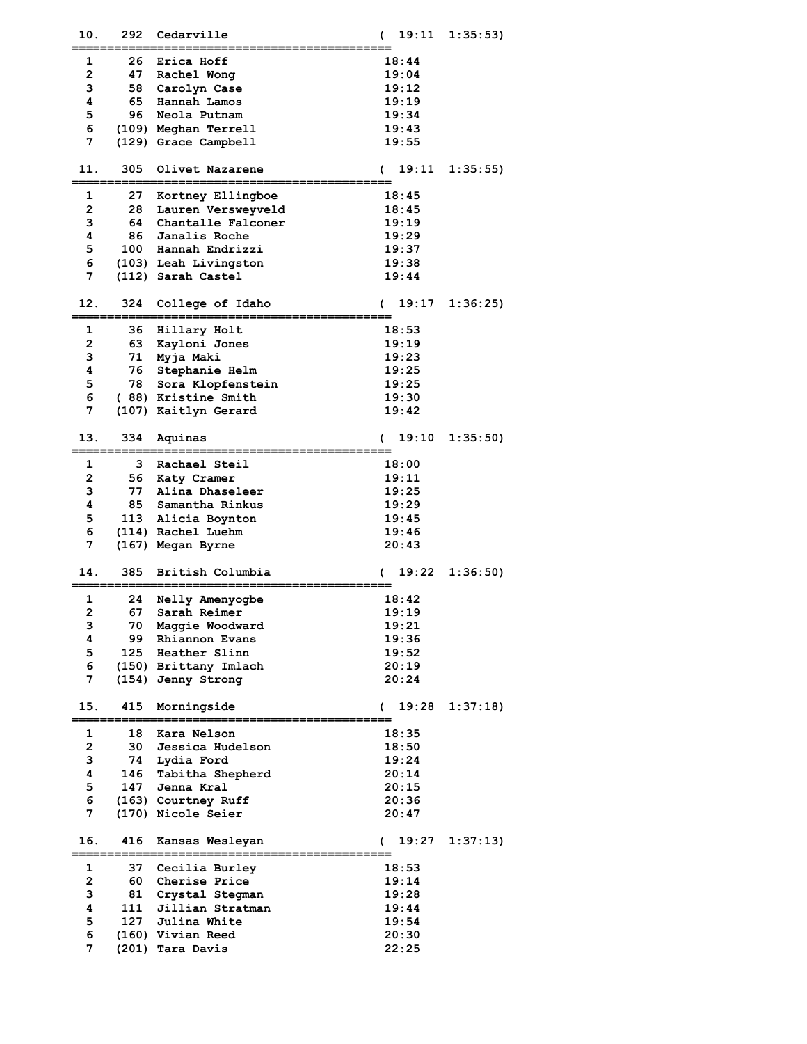| 10.          | 292  | Cedarville                          | 19:11<br>( | 1:35:53  |
|--------------|------|-------------------------------------|------------|----------|
| 1            | 26   | Erica Hoff                          | 18:44      |          |
| $\mathbf{2}$ | 47   | Rachel Wong                         | 19:04      |          |
| 3            | 58   | Carolyn Case                        | 19:12      |          |
| 4            | 65   | Hannah Lamos                        | 19:19      |          |
| 5            | 96.  | Neola Putnam                        | 19:34      |          |
| 6            |      |                                     | 19:43      |          |
| 7            |      | (109) Meghan Terrell                |            |          |
|              |      | (129) Grace Campbell                | 19:55      |          |
| 11.          | 305  | Olivet Nazarene                     | 19:11<br>€ | 1:35:55  |
|              |      |                                     |            |          |
| 1            | 27   | Kortney Ellingboe                   | 18:45      |          |
| 2            | 28   | Lauren Versweyveld                  | 18:45      |          |
| 3            | 64   | Chantalle Falconer                  | 19:19      |          |
| 4            | 86   | Janalis Roche                       | 19:29      |          |
| 5            |      | 100 Hannah Endrizzi                 | 19:37      |          |
| 6            |      | (103) Leah Livingston               | 19:38      |          |
| 7            |      | (112) Sarah Castel                  | 19:44      |          |
|              |      |                                     |            |          |
| 12.          | 324  | College of Idaho                    | 19:17<br>( | 1:36:25  |
|              |      |                                     |            |          |
| 1            | 36   | Hillary Holt                        | 18:53      |          |
| $\mathbf{2}$ | 63   | Kayloni Jones                       | 19:19      |          |
| 3            | 71   | Myja Maki                           | 19:23      |          |
| 4            | 76   | Stephanie Helm                      | 19:25      |          |
| 5            | 78   | Sora Klopfenstein                   | 19:25      |          |
| 6            |      | (88) Kristine Smith                 | 19:30      |          |
| 7            |      | (107) Kaitlyn Gerard                | 19:42      |          |
|              |      |                                     |            |          |
| 13.          | 334  | Aquinas                             | 19:10<br>( | 1:35:50) |
| 1            | 3    | Rachael Steil                       | 18:00      |          |
| 2            | 56   | Katy Cramer                         | 19:11      |          |
| 3            | 77   | Alina Dhaseleer                     | 19:25      |          |
| 4            | 85   | Samantha Rinkus                     | 19:29      |          |
| 5            |      | 113 Alicia Boynton                  | 19:45      |          |
| 6            |      | (114) Rachel Luehm                  | 19:46      |          |
| 7            |      | (167) Megan Byrne                   | 20:43      |          |
|              |      |                                     |            |          |
| 14.          | 385  | British Columbia                    | 19:22<br>( | 1:36:50  |
|              |      |                                     |            |          |
| 1            | 24   | Nelly Amenyogbe                     | 18:42      |          |
| 2            | 67 - | Sarah Reimer                        | 19:19      |          |
| 3            | 70   | Maggie Woodward                     | 19:21      |          |
| 4            | 99.  | Rhiannon Evans                      | 19:36      |          |
| 5            |      | 125 Heather Slinn                   | 19:52      |          |
| 6            |      | (150) Brittany Imlach               | 20:19      |          |
| 7            |      | (154) Jenny Strong                  | 20:24      |          |
| 15.          | 415  | Morningside                         | 19:28<br>C | 1:37:18  |
|              |      |                                     |            |          |
| 1            | 18   | Kara Nelson                         | 18:35      |          |
| 2            | 30   | Jessica Hudelson                    | 18:50      |          |
| 3            | 74   | Lydia Ford                          | 19:24      |          |
| 4            | 146  | Tabitha Shepherd                    | 20:14      |          |
| 5            | 147  | Jenna Kral                          | 20:15      |          |
| 6            |      | (163) Courtney Ruff                 | 20:36      |          |
| 7            |      | (170) Nicole Seier                  | 20:47      |          |
|              |      |                                     |            |          |
| 16.          | 416  | Kansas Wesleyan                     | 19:27<br>€ | 1:37:13  |
| 1            | 37   | Cecilia Burley                      | 18:53      |          |
| $\mathbf{2}$ | 60.  | Cherise Price                       | 19:14      |          |
| з            | 81   |                                     | 19:28      |          |
| 4            | 111  | Crystal Stegman<br>Jillian Stratman | 19:44      |          |
| 5            |      | 127 Julina White                    | 19:54      |          |
| 6            |      | (160) Vivian Reed                   | 20:30      |          |
| 7            |      | (201) Tara Davis                    | 22:25      |          |
|              |      |                                     |            |          |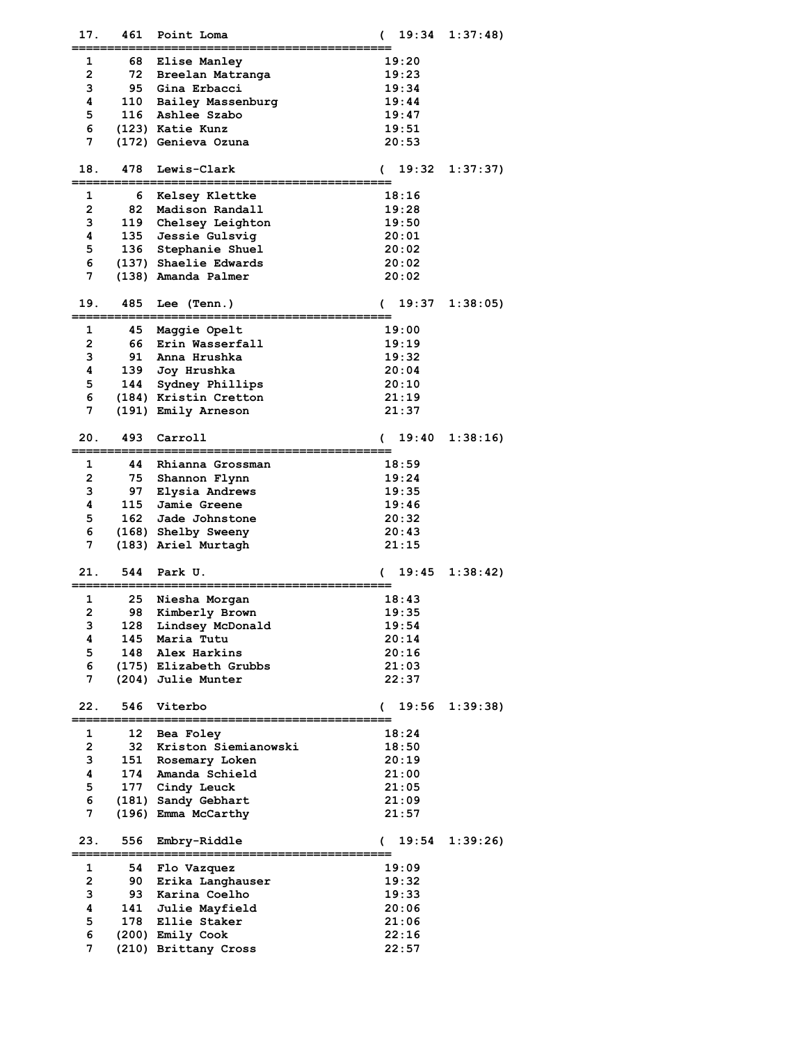| 17.            | 461 | Point Loma                                   | 19:34      | 1:37:48  |
|----------------|-----|----------------------------------------------|------------|----------|
| 1              | 68  | <b>Elise Manley</b>                          | 19:20      |          |
| 2              | 72  | Breelan Matranga                             | 19:23      |          |
| з              |     | 95 Gina Erbacci                              | 19:34      |          |
| 4              | 110 | Bailey Massenburg                            | 19:44      |          |
| 5              |     | 116 Ashlee Szabo                             | 19:47      |          |
| 6              |     | (123) Katie Kunz                             | 19:51      |          |
| 7              |     | (172) Genieva Ozuna                          | 20:53      |          |
|                |     |                                              |            |          |
| 18.            | 478 | Lewis-Clark                                  | 19:32<br>€ | 1:37:37) |
| 1              | 6   |                                              | 18:16      |          |
| $\mathbf{2}$   | 82  | Kelsey Klettke<br>Madison Randall            | 19:28      |          |
| 3              | 119 |                                              | 19:50      |          |
| 4              | 135 | Chelsey Leighton<br>Jessie Gulsvig           | 20:01      |          |
| 5              | 136 | Stephanie Shuel                              | 20:02      |          |
| 6              |     |                                              | 20:02      |          |
| 7              |     | (137) Shaelie Edwards<br>(138) Amanda Palmer | 20:02      |          |
|                |     |                                              |            |          |
| 19.            | 485 | Lee (Tenn.)                                  | 19:37<br>€ | 1:38:05  |
| 1              | 45  | Maggie Opelt                                 | 19:00      |          |
| $\overline{2}$ |     | 66 Erin Wasserfall                           | 19:19      |          |
| з              | 91  | Anna Hrushka                                 | 19:32      |          |
| 4              | 139 | Joy Hrushka                                  | 20:04      |          |
| 5              | 144 | Sydney Phillips                              | 20:10      |          |
| 6              |     | (184) Kristin Cretton                        | 21:19      |          |
| 7              |     | (191) Emily Arneson                          | 21:37      |          |
|                |     |                                              |            |          |
| 20.            | 493 | Carroll                                      | 19:40<br>€ | 1:38:16  |
| 1              | 44  | Rhianna Grossman                             | 18:59      |          |
| $\overline{2}$ | 75  | Shannon Flynn                                | 19:24      |          |
| 3              | 97  | Elysia Andrews                               | 19:35      |          |
| 4              | 115 | Jamie Greene                                 | 19:46      |          |
| 5              |     | 162 Jade Johnstone                           | 20:32      |          |
| 6              |     | (168) Shelby Sweeny                          | 20:43      |          |
| 7              |     | (183) Ariel Murtagh                          | 21:15      |          |
|                |     |                                              |            |          |
| 21.            | 544 | Park U.                                      | 19:45<br>C | 1:38:42  |
| 1              | 25  | Niesha Morgan                                | 18:43      |          |
| 2              |     | 98 Kimberly Brown                            | 19:35      |          |
| з              |     | 128 Lindsey McDonald                         | 19:54      |          |
| 4              |     | 145 Maria Tutu                               | 20:14      |          |
| 5              |     | 148 Alex Harkins                             | 20:16      |          |
| 6              |     | (175) Elizabeth Grubbs                       | 21:03      |          |
| 7              |     | (204) Julie Munter                           | 22:37      |          |
|                |     |                                              |            |          |
| 22.            | 546 | Viterbo                                      | 19:56<br>( | 1:39:38  |
| 1              | 12  | Bea Foley                                    | 18:24      |          |
| 2              | 32  | Kriston Siemianowski                         | 18:50      |          |
| 3              | 151 | Rosemary Loken                               | 20:19      |          |
| 4              |     | 174 Amanda Schield                           | 21:00      |          |
| 5              | 177 | Cindy Leuck                                  | 21:05      |          |
| 6              |     | (181) Sandy Gebhart                          | 21:09      |          |
| 7              |     | (196) Emma McCarthy                          | 21:57      |          |
|                |     |                                              |            |          |
| 23.            | 556 | Embry-Riddle                                 | 19:54<br>€ | 1:39:26  |
| 1              | 54  | Flo Vazquez                                  | 19:09      |          |
| 2              | 90  | Erika Langhauser                             | 19:32      |          |
| 3              | 93  | Karina Coelho                                | 19:33      |          |
| 4              | 141 | Julie Mayfield                               | 20:06      |          |
| 5              |     | 178 Ellie Staker                             | 21:06      |          |
| 6              |     | (200) Emily Cook                             | 22:16      |          |
| 7              |     | (210) Brittany Cross                         | 22:57      |          |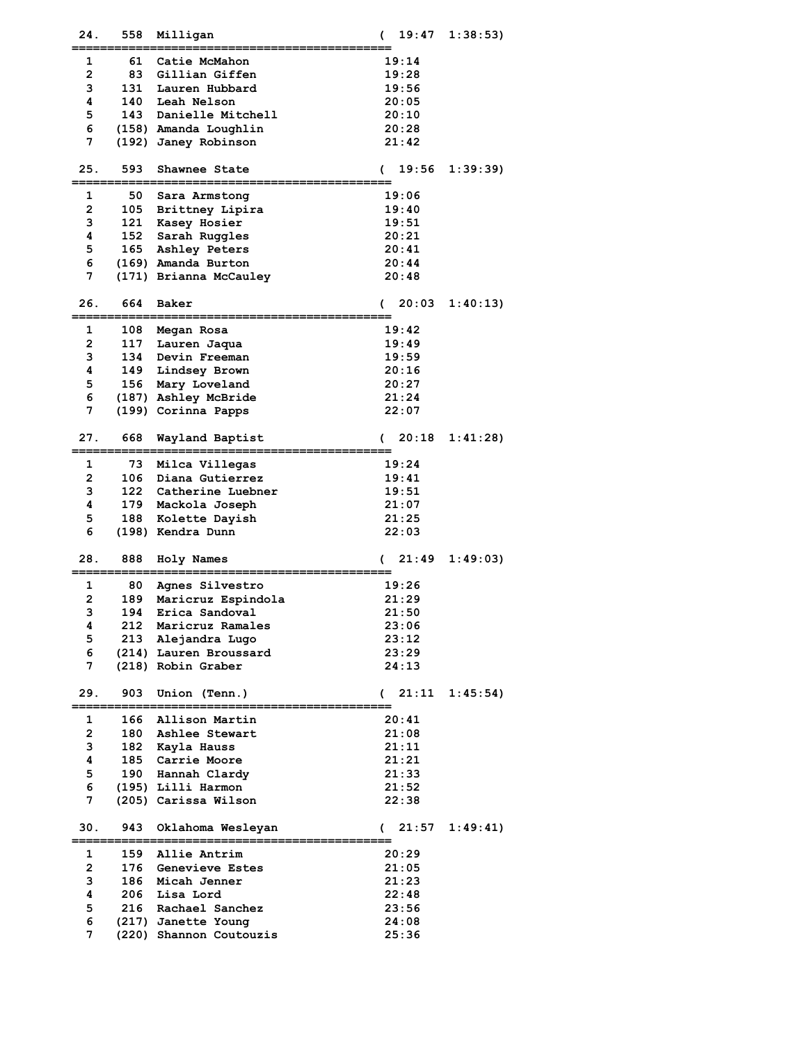| 24.          | 558 | Milligan                | 19:47<br>(             | 1:38:53  |
|--------------|-----|-------------------------|------------------------|----------|
| 1            | 61  | Catie McMahon           | 19:14                  |          |
| $\mathbf{2}$ | 83  | Gillian Giffen          | 19:28                  |          |
| 3            | 131 | Lauren Hubbard          | 19:56                  |          |
| 4            | 140 | Leah Nelson             | 20:05                  |          |
| 5            | 143 | Danielle Mitchell       | 20:10                  |          |
| 6            |     | (158) Amanda Loughlin   | 20:28                  |          |
| 7            |     | (192) Janey Robinson    | 21:42                  |          |
|              |     |                         |                        |          |
| 25.          | 593 | Shawnee State           | 19:56<br>€             | 1:39:39  |
|              |     |                         |                        |          |
| 1            | 50  | Sara Armstong           | 19:06                  |          |
| $\mathbf{2}$ | 105 | Brittney Lipira         | 19:40                  |          |
| 3            | 121 | Kasey Hosier            | 19:51                  |          |
| 4            | 152 | Sarah Ruggles           | 20:21                  |          |
| 5            | 165 | Ashley Peters           | 20:41                  |          |
| 6            |     | (169) Amanda Burton     | 20:44                  |          |
| 7            |     | (171) Brianna McCauley  | 20:48                  |          |
|              |     |                         |                        |          |
| 26.          | 664 | Baker                   | 20:03<br>€             | 1:40:13  |
|              |     |                         |                        |          |
| 1            |     | 108 Megan Rosa          | 19:42                  |          |
| $\mathbf{2}$ | 117 | Lauren Jaqua            | 19:49                  |          |
| 3            |     | 134 Devin Freeman       | 19:59                  |          |
| 4            | 149 | Lindsey Brown           | 20:16                  |          |
| 5            | 156 | Mary Loveland           | 20:27                  |          |
| 6            |     | (187) Ashley McBride    | 21:24                  |          |
| 7            |     | (199) Corinna Papps     | 22:07                  |          |
|              |     |                         |                        |          |
| 27.          | 668 | Wayland Baptist         | 20:18<br>€             | 1:41:28  |
|              |     |                         |                        |          |
| 1            | 73  | Milca Villegas          | 19:24                  |          |
| $\mathbf{2}$ | 106 | Diana Gutierrez         | 19:41                  |          |
| 3            |     | 122 Catherine Luebner   | 19:51                  |          |
| 4            | 179 | Mackola Joseph          | 21:07                  |          |
| 5            | 188 | Kolette Dayish          | 21:25                  |          |
| 6            |     | (198) Kendra Dunn       | 22:03                  |          |
| 28.          | 888 |                         | 21:49                  | 1:49:03  |
|              |     | Holy Names              | (                      |          |
| 1            | 80  | Agnes Silvestro         | 19:26                  |          |
| 2            | 189 | Maricruz Espindola      | 21:29                  |          |
| з            | 194 | Erica Sandoval          | 21:50                  |          |
| 4            | 212 | Maricruz Ramales        | 23:06                  |          |
| 5            |     | 213 Alejandra Lugo      | 23:12                  |          |
| 6            |     | (214) Lauren Broussard  | 23:29                  |          |
| 7            |     | (218) Robin Graber      | 24:13                  |          |
|              |     |                         |                        |          |
| 29.          | 903 | Union (Tenn.)           | 21:11<br>$\sqrt{2}$    | 1:45:54  |
|              |     |                         |                        |          |
| 1            | 166 | Allison Martin          | 20:41                  |          |
| 2            | 180 | Ashlee Stewart          | 21:08                  |          |
| 3            | 182 | Kayla Hauss             | 21:11                  |          |
| 4            | 185 | Carrie Moore            | 21:21                  |          |
| 5            | 190 | Hannah Clardy           | 21:33                  |          |
| 6            |     | (195) Lilli Harmon      | 21:52                  |          |
| 7            |     | (205) Carissa Wilson    | 22:38                  |          |
|              |     |                         |                        |          |
| 30.          | 943 | Oklahoma Wesleyan       | 21:57<br>$\mathcal{C}$ | 1:49:41) |
| 1            | 159 | Allie Antrim            | 20:29                  |          |
| 2            | 176 | Genevieve Estes         | 21:05                  |          |
| 3            | 186 | Micah Jenner            | 21:23                  |          |
| 4            | 206 | Lisa Lord               | 22:48                  |          |
| 5            |     | 216 Rachael Sanchez     | 23:56                  |          |
| 6            |     | (217) Janette Young     | 24:08                  |          |
| 7            |     | (220) Shannon Coutouzis | 25:36                  |          |
|              |     |                         |                        |          |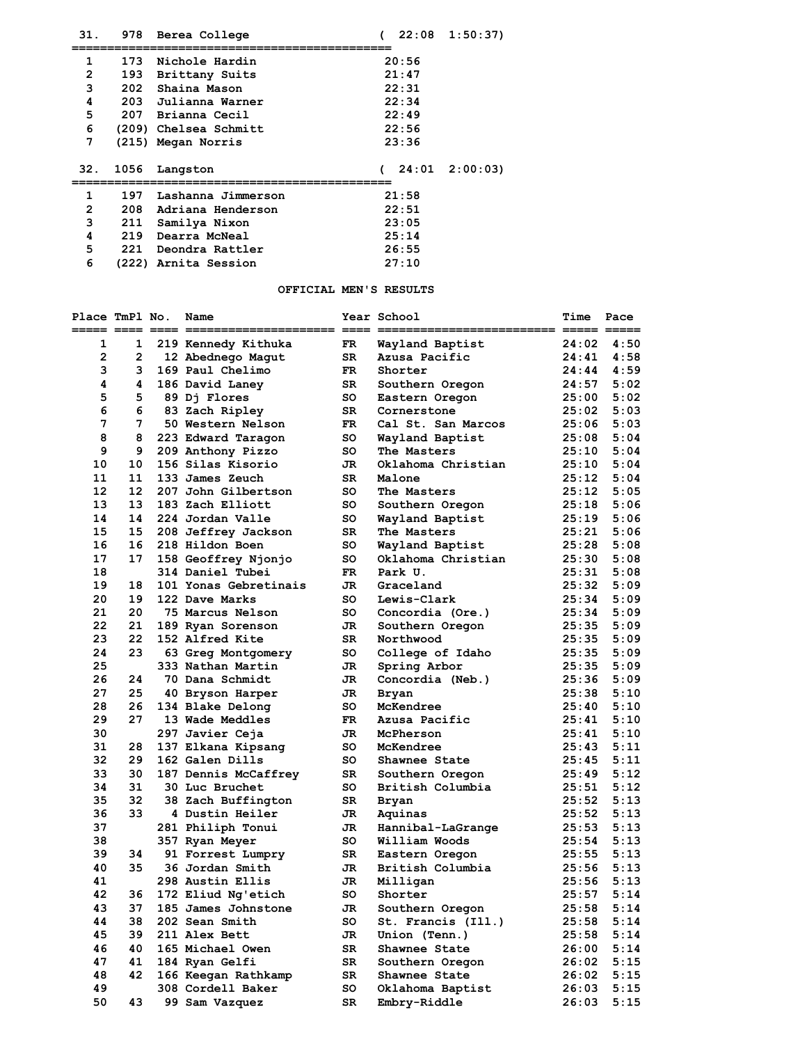| 31. | 978  | Berea College         |            |       | $22:08$ 1:50:37)  |
|-----|------|-----------------------|------------|-------|-------------------|
| 1   | 173  | Nichole Hardin        |            | 20:56 |                   |
| 2   |      | 193 Brittany Suits    |            | 21:47 |                   |
| 3   |      | 202 Shaina Mason      |            | 22:31 |                   |
| 4   |      | 203 Julianna Warner   |            | 22:34 |                   |
| 5   |      | 207 Brianna Cecil     |            | 22:49 |                   |
| 6   |      | (209) Chelsea Schmitt |            | 22:56 |                   |
| 7   |      | (215) Megan Norris    |            | 23:36 |                   |
| 32. | 1056 | Langston              | $\epsilon$ |       | $24:01$ $2:00:03$ |
| 1   | 197  | Lashanna Jimmerson    |            | 21:58 |                   |
| 2   | 208  | Adriana Henderson     |            | 22:51 |                   |
| 3   | 211  | Samilya Nixon         |            | 23:05 |                   |
| 4   | 219  | Dearra McNeal         |            | 25:14 |                   |
| 5   | 221  | Deondra Rattler       |            | 26:55 |                   |
| 6   |      | (222) Arnita Session  |            | 27:10 |                   |

# **OFFICIAL MEN'S RESULTS**

| Place TmPl No. |              | Name                              |          | Year School                    | Time           | Pace         |
|----------------|--------------|-----------------------------------|----------|--------------------------------|----------------|--------------|
| 1              | 1            | 219 Kennedy Kithuka               | FR       | Wayland Baptist                | 24:02          | 4:50         |
| $\mathbf{2}$   | $\mathbf{2}$ | 12 Abednego Magut                 | SR       | Azusa Pacific                  | 24:41          | 4:58         |
| 3              | 3            | 169 Paul Chelimo                  | FR.      | Shorter                        | 24:44          | 4:59         |
| 4              | 4            | 186 David Laney                   | SR       | Southern Oregon                | 24:57          | 5:02         |
| 5              | 5            | 89 Dj Flores                      | so       | Eastern Oregon                 | 25:00          | 5:02         |
| 6              | 6            | 83 Zach Ripley                    | SR       | Cornerstone                    | 25:02          | 5:03         |
| 7              | 7            | 50 Western Nelson                 | FR       | Cal St. San Marcos             | 25:06          | 5:03         |
| 8              | 8            | 223 Edward Taragon                | so       | Wayland Baptist                | 25:08          | 5:04         |
| 9              | 9            | 209 Anthony Pizzo                 | so       | The Masters                    | 25:10          | 5:04         |
| 10             | 10           | 156 Silas Kisorio                 | JR.      | Oklahoma Christian             | 25:10          | 5:04         |
| 11             | 11           | 133 James Zeuch                   | SR       | Malone                         | 25:12          | 5:04         |
| 12             | 12           | 207 John Gilbertson               | so       | The Masters                    | 25:12          | 5:05         |
| 13             | 13           | 183 Zach Elliott                  | so       | Southern Oregon                | 25:18          | 5:06         |
| 14             | 14           | 224 Jordan Valle                  | so       | Wayland Baptist                | 25:19          | 5:06         |
| 15             | 15           | 208 Jeffrey Jackson               | SR       | The Masters                    | 25:21          | 5:06         |
| 16             | 16           | 218 Hildon Boen                   | so       | Wayland Baptist                | 25:28          | 5:08         |
| 17             | 17           | 158 Geoffrey Njonjo               | so       | Oklahoma Christian             | 25:30          | 5:08         |
| 18             |              | 314 Daniel Tubei                  | FR       | Park U.                        | 25:31          | 5:08         |
| 19             | 18           | 101 Yonas Gebretinais             | JR       | Graceland                      | 25:32          | 5:09         |
| 20             | 19           | 122 Dave Marks                    | so       | Lewis-Clark                    | 25:34          | 5:09         |
| 21             | 20           | 75 Marcus Nelson                  | so       | Concordia (Ore.)               | 25:34          | 5:09         |
| 22             | 21           | 189 Ryan Sorenson                 | JR       | Southern Oregon                | 25:35          | 5:09         |
| 23             | 22           | 152 Alfred Kite                   | SR       | Northwood                      | 25:35          | 5:09         |
| 24             | 23           | 63 Greg Montgomery                | so       | College of Idaho               | 25:35          | 5:09         |
| 25             |              | 333 Nathan Martin                 | JR       | Spring Arbor                   | 25:35          | 5:09         |
| 26             | 24           | 70 Dana Schmidt                   | JR.      | Concordia (Neb.)               | 25:36          | 5:09         |
| 27             | 25           | 40 Bryson Harper                  | JR       | Bryan                          | 25:38          | 5:10         |
| 28             | 26           | 134 Blake Delong                  | so       | McKendree                      | 25:40          | 5:10         |
| 29             | 27           | 13 Wade Meddles                   | FR.      | Azusa Pacific                  | 25:41          | 5:10         |
| 30             |              | 297 Javier Ceja                   | JR       | McPherson                      | 25:41          | 5:10         |
| 31             | 28           | 137 Elkana Kipsang                | so       | McKendree                      | 25:43          | 5:11         |
| 32             | 29           | 162 Galen Dills                   | so       | Shawnee State                  | 25:45          | 5:11         |
| 33             | 30           | 187 Dennis McCaffrey              | SR       | Southern Oregon                | 25:49          | 5:12         |
| 34             | 31           | 30 Luc Bruchet                    | so       | British Columbia               | 25:51          | 5:12         |
| 35             | 32           | 38 Zach Buffington                | SR       | Bryan                          | 25:52          | 5:13         |
| 36             | 33           | 4 Dustin Heiler                   | JR       | Aquinas                        | 25:52          | 5:13         |
| 37             |              | 281 Philiph Tonui                 | JR       | Hannibal-LaGrange              | 25:53          | 5:13         |
| 38             |              | 357 Ryan Meyer                    | so       | William Woods                  | 25:54          | 5:13         |
| 39             | 34           | 91 Forrest Lumpry                 | SR       | Eastern Oregon                 | 25:55          | 5:13         |
| 40             | 35           | 36 Jordan Smith                   | JR       | British Columbia               | 25:56          | 5:13         |
| 41             |              | 298 Austin Ellis                  | JR       | Milligan                       | 25:56          | 5:13         |
| 42             | 36           | 172 Eliud Ng'etich                | so       | Shorter                        | 25:57          | 5:14         |
| 43             | 37           | 185 James Johnstone               | JR       | Southern Oregon                | 25:58          | 5:14         |
| 44             | 38           | 202 Sean Smith                    | so       | St. Francis (Ill.)             | 25:58          | 5:14         |
| 45<br>46       | 39<br>40     | 211 Alex Bett<br>165 Michael Owen | JR<br>SR | Union (Tenn.)<br>Shawnee State | 25:58<br>26:00 | 5:14<br>5:14 |
| 47             | 41           | 184 Ryan Gelfi                    | SR       | Southern Oregon                | 26:02          | 5:15         |
| 48             | 42           | 166 Keegan Rathkamp               | SR       | Shawnee State                  | 26:02          | 5:15         |
| 49             |              | 308 Cordell Baker                 | so       | Oklahoma Baptist               | 26:03          | 5:15         |
| 50             | 43           | 99 Sam Vazquez                    | SR       | Embry-Riddle                   | 26:03          | 5:15         |
|                |              |                                   |          |                                |                |              |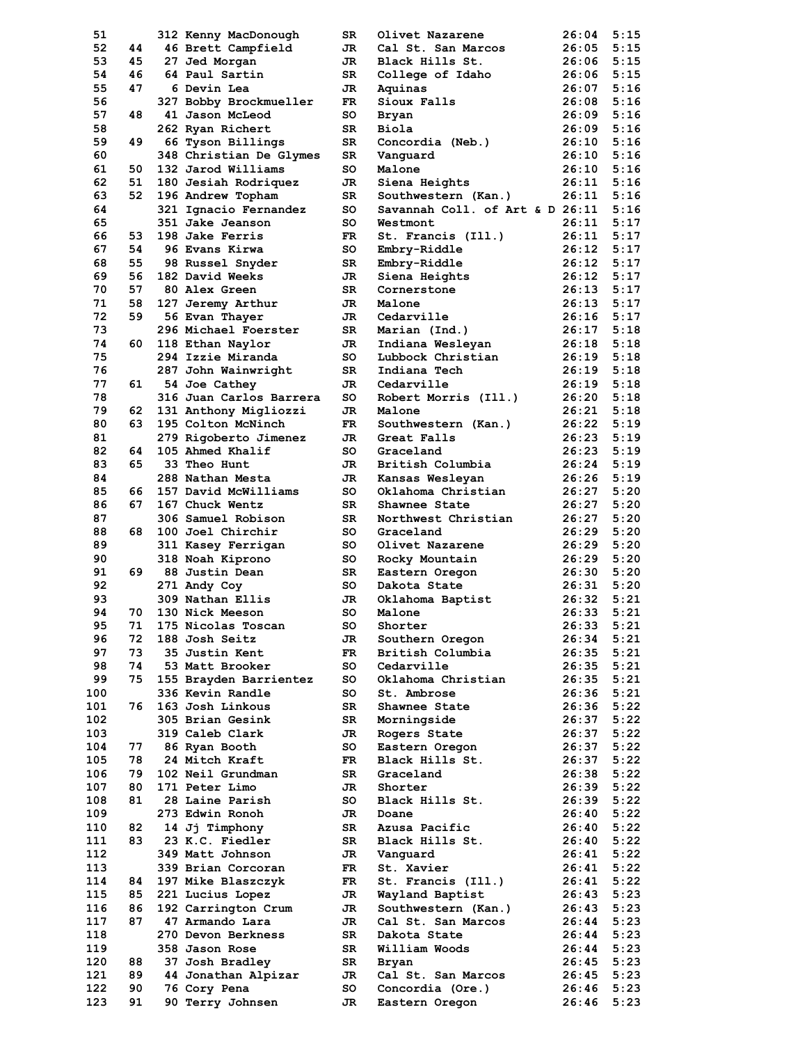| 51  |     | 312 Kenny MacDonough    | SR  | Olivet Nazarene                 | 26:04 | 5:15 |
|-----|-----|-------------------------|-----|---------------------------------|-------|------|
| 52  | 44  | 46 Brett Campfield      | JR  | Cal St. San Marcos              | 26:05 | 5:15 |
| 53  | 45  | 27 Jed Morgan           | JR. | Black Hills St.                 | 26:06 | 5:15 |
| 54  | 46  | 64 Paul Sartin          | SR  | College of Idaho                | 26:06 | 5:15 |
|     |     |                         |     |                                 |       | 5:16 |
| 55  | 47  | 6 Devin Lea             | JR  | Aquinas                         | 26:07 |      |
| 56  |     | 327 Bobby Brockmueller  | FR  | Sioux Falls                     | 26:08 | 5:16 |
| 57  | 48  | 41 Jason McLeod         | so  | <b>Bryan</b>                    | 26:09 | 5:16 |
| 58  |     | 262 Ryan Richert        | SR  | Biola                           | 26:09 | 5:16 |
| 59  | 49  | 66 Tyson Billings       | SR  | Concordia (Neb.)                | 26:10 | 5:16 |
| 60  |     | 348 Christian De Glymes | SR  | Vanguard                        | 26:10 | 5:16 |
|     |     |                         |     |                                 |       |      |
| 61  | 50  | 132 Jarod Williams      | so  | Malone                          | 26:10 | 5:16 |
| 62  | 51  | 180 Jesiah Rodriquez    | JR  | Siena Heights                   | 26:11 | 5:16 |
| 63  | 52  | 196 Andrew Topham       | SR  | Southwestern (Kan.)             | 26:11 | 5:16 |
| 64  |     | 321 Ignacio Fernandez   | so  | Savannah Coll. of Art & D 26:11 |       | 5:16 |
| 65  |     | 351 Jake Jeanson        | so  | Westmont                        | 26:11 | 5:17 |
| 66  | 53  | 198 Jake Ferris         | FR. | St. Francis (Ill.)              | 26:11 | 5:17 |
|     |     |                         |     |                                 |       | 5:17 |
| 67  | 54  | 96 Evans Kirwa          | so  | Embry-Riddle                    | 26:12 |      |
| 68  | 55  | 98 Russel Snyder        | SR  | Embry-Riddle                    | 26:12 | 5:17 |
| 69  | 56  | 182 David Weeks         | JR  | Siena Heights                   | 26:12 | 5:17 |
| 70  | 57  | <b>80 Alex Green</b>    | SR  | Cornerstone                     | 26:13 | 5:17 |
| 71  | 58  | 127 Jeremy Arthur       | JR. | Malone                          | 26:13 | 5:17 |
| 72  | 59  | 56 Evan Thayer          | JR  | Cedarville                      | 26:16 | 5:17 |
|     |     |                         |     |                                 |       |      |
| 73  |     | 296 Michael Foerster    | SR  | Marian (Ind.)                   | 26:17 | 5:18 |
| 74  | 60  | 118 Ethan Naylor        | JR. | Indiana Wesleyan                | 26:18 | 5:18 |
| 75  |     | 294 Izzie Miranda       | so  | Lubbock Christian               | 26:19 | 5:18 |
| 76  |     | 287 John Wainwright     | SR  | Indiana Tech                    | 26:19 | 5:18 |
| 77  | 61  | 54 Joe Cathey           | JR  | Cedarville                      | 26:19 | 5:18 |
| 78  |     | 316 Juan Carlos Barrera | so  | Robert Morris (Ill.)            | 26:20 | 5:18 |
|     |     |                         |     |                                 |       |      |
| 79  | 62  | 131 Anthony Migliozzi   | JR  | Malone                          | 26:21 | 5:18 |
| 80  | 63. | 195 Colton McNinch      | FR. | Southwestern (Kan.)             | 26:22 | 5:19 |
| 81  |     | 279 Rigoberto Jimenez   | JR. | Great Falls                     | 26:23 | 5:19 |
| 82  | 64  | 105 Ahmed Khalif        | so  | Graceland                       | 26:23 | 5:19 |
| 83  | 65  | 33 Theo Hunt            | JR. | British Columbia                | 26:24 | 5:19 |
| 84  |     | 288 Nathan Mesta        | JR. | Kansas Wesleyan                 | 26:26 | 5:19 |
|     |     |                         |     |                                 |       |      |
| 85  | 66  | 157 David McWilliams    | so  | Oklahoma Christian              | 26:27 | 5:20 |
| 86  | 67  | 167 Chuck Wentz         | SR. | Shawnee State                   | 26:27 | 5:20 |
| 87  |     | 306 Samuel Robison      | SR  | Northwest Christian             | 26:27 | 5:20 |
| 88  | 68  | 100 Joel Chirchir       | so  | Graceland                       | 26:29 | 5:20 |
| 89  |     | 311 Kasey Ferrigan      | so  | Olivet Nazarene                 | 26:29 | 5:20 |
| 90  |     | 318 Noah Kiprono        | so  |                                 | 26:29 | 5:20 |
|     |     |                         |     | Rocky Mountain                  |       |      |
| 91  | 69  | 88 Justin Dean          | SR  | Eastern Oregon                  | 26:30 | 5:20 |
| 92  |     | 271 Andy Coy            | so  | Dakota State                    | 26:31 | 5:20 |
| 93  |     | 309 Nathan Ellis        | JR  | Oklahoma Baptist                | 26:32 | 5:21 |
| 94  | 70  | 130 Nick Meeson         | so  | Malone                          | 26:33 | 5:21 |
| 95  | 71  | 175 Nicolas Toscan      | so  | Shorter                         | 26:33 | 5:21 |
| 96  | 72  | 188 Josh Seitz          | JR  | Southern Oregon                 | 26:34 | 5:21 |
|     |     |                         |     |                                 |       |      |
| 97  | 73  | 35 Justin Kent          | FR  | British Columbia                | 26:35 | 5:21 |
| 98  | 74  | 53 Matt Brooker         | so  | Cedarville                      | 26:35 | 5:21 |
| 99  | 75  | 155 Brayden Barrientez  | so  | Oklahoma Christian              | 26:35 | 5:21 |
| 100 |     | 336 Kevin Randle        | so  | St. Ambrose                     | 26:36 | 5:21 |
| 101 | 76  | 163 Josh Linkous        | SR  | Shawnee State                   | 26:36 | 5:22 |
| 102 |     | 305 Brian Gesink        | SR  |                                 | 26:37 | 5:22 |
|     |     |                         |     | Morningside                     |       |      |
| 103 |     | 319 Caleb Clark         | JR  | Rogers State                    | 26:37 | 5:22 |
| 104 | 77  | 86 Ryan Booth           | so  | Eastern Oregon                  | 26:37 | 5:22 |
| 105 | 78  | 24 Mitch Kraft          | FR  | Black Hills St.                 | 26:37 | 5:22 |
| 106 | 79  | 102 Neil Grundman       | SR  | Graceland                       | 26:38 | 5:22 |
| 107 | 80  | 171 Peter Limo          | JR  | Shorter                         | 26:39 | 5:22 |
| 108 | 81  |                         |     |                                 |       | 5:22 |
|     |     | 28 Laine Parish         | so  | Black Hills St.                 | 26:39 |      |
| 109 |     | 273 Edwin Ronoh         | JR  | Doane                           | 26:40 | 5:22 |
| 110 | 82  | 14 Jj Timphony          | SR  | Azusa Pacific                   | 26:40 | 5:22 |
| 111 | 83  | 23 K.C. Fiedler         | SR  | Black Hills St.                 | 26:40 | 5:22 |
| 112 |     | 349 Matt Johnson        | JR  | Vanquard                        | 26:41 | 5:22 |
| 113 |     | 339 Brian Corcoran      | FR  | St. Xavier                      | 26:41 | 5:22 |
|     |     |                         |     |                                 |       |      |
| 114 | 84  | 197 Mike Blaszczyk      | FR. | St. Francis (Ill.)              | 26:41 | 5:22 |
| 115 | 85  | 221 Lucius Lopez        | JR  | Wayland Baptist                 | 26:43 | 5:23 |
| 116 | 86  | 192 Carrington Crum     | JR  | Southwestern (Kan.)             | 26:43 | 5:23 |
| 117 | 87  | 47 Armando Lara         | JR  | Cal St. San Marcos              | 26:44 | 5:23 |
| 118 |     | 270 Devon Berkness      | SR  | Dakota State                    | 26:44 | 5:23 |
| 119 |     | 358 Jason Rose          | SR  | William Woods                   | 26:44 | 5:23 |
|     |     |                         |     |                                 |       | 5:23 |
|     |     |                         |     |                                 |       |      |
| 120 | 88  | 37 Josh Bradley         | SR  | Bryan                           | 26:45 |      |
| 121 | 89  | 44 Jonathan Alpizar     | JR  | Cal St. San Marcos              | 26:45 | 5:23 |
| 122 | 90  | 76 Cory Pena            | so  | Concordia (Ore.)                | 26:46 | 5:23 |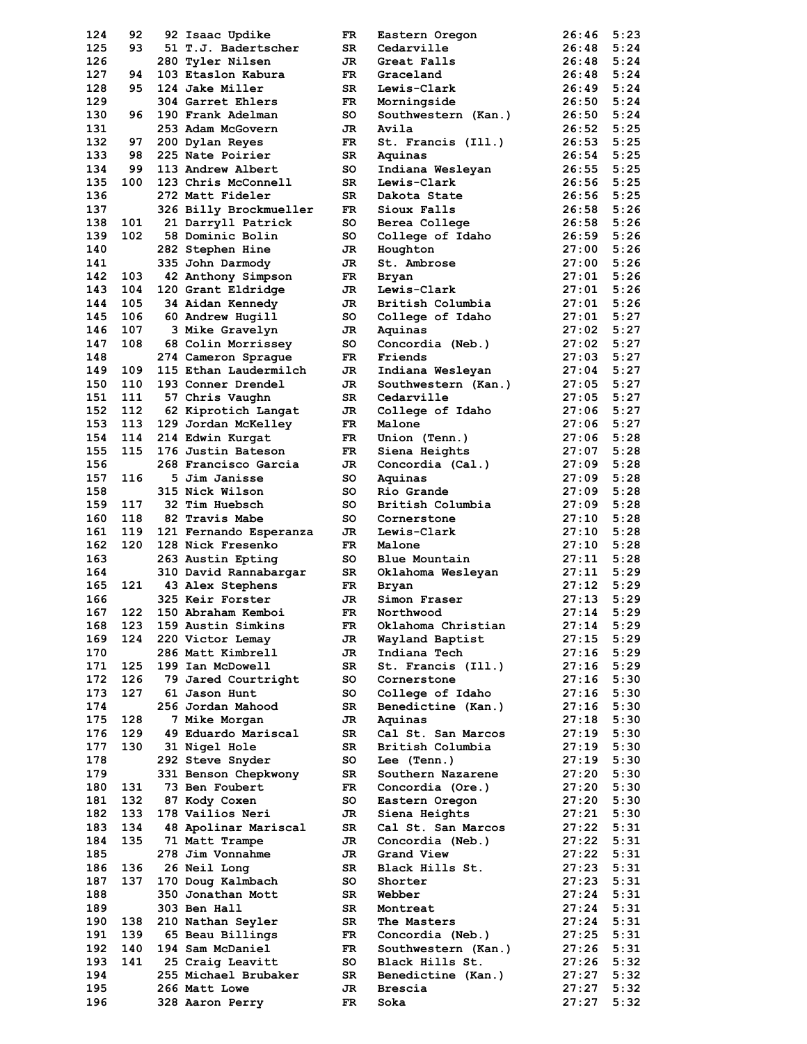| 124        | 92  | 92 Isaac Updike                  | FR       | Eastern Oregon      | 26:46          | 5:23         |
|------------|-----|----------------------------------|----------|---------------------|----------------|--------------|
| 125        | 93  | 51 T.J. Badertscher              | SR       | Cedarville          | 26:48          | 5:24         |
| 126        |     | 280 Tyler Nilsen                 | JR       | Great Falls         | 26:48          | 5:24         |
| 127        | 94  | 103 Etaslon Kabura               | FR.      | Graceland           | 26:48          | 5:24         |
| 128        | 95  | 124 Jake Miller                  | SR       | Lewis-Clark         | 26:49          | 5:24         |
| 129        |     | 304 Garret Ehlers                | FR       | Morningside         | 26:50          | 5:24         |
| 130        | 96  | 190 Frank Adelman                | so       | Southwestern (Kan.) | 26:50          | 5:24         |
| 131        |     | 253 Adam McGovern                | JR.      | Avila               | 26:52          | 5:25         |
| 132        | 97  | 200 Dylan Reyes                  | FR.      | St. Francis (Ill.)  | 26:53          | 5:25         |
| 133        | 98  | 225 Nate Poirier                 | SR       | Aquinas             | 26:54          | 5:25         |
| 134        | 99  | 113 Andrew Albert                | so       | Indiana Wesleyan    | 26:55          | 5:25         |
| 135        | 100 | 123 Chris McConnell              | SR       | Lewis-Clark         | 26:56          | 5:25         |
| 136        |     | 272 Matt Fideler                 | SR       | Dakota State        | 26:56          | 5:25         |
| 137        |     | 326 Billy Brockmueller           | FR.      | Sioux Falls         | 26:58          | 5:26         |
| 138        | 101 | 21 Darryll Patrick               | so       | Berea College       | 26:58          | 5:26         |
| 139        | 102 | 58 Dominic Bolin                 | so       | College of Idaho    | 26:59          | 5:26         |
| 140        |     | 282 Stephen Hine                 | JR       | Houghton            | 27:00          | 5:26         |
| 141        |     | 335 John Darmody                 | JR.      | St. Ambrose         | 27:00          | 5:26         |
| 142        | 103 | 42 Anthony Simpson               | FR.      | <b>Bryan</b>        | 27:01          | 5:26         |
| 143        | 104 | 120 Grant Eldridge               | JR.      | Lewis-Clark         | 27:01          | 5:26         |
| 144        | 105 | 34 Aidan Kennedy                 | JR.      | British Columbia    | 27:01          | 5:26         |
| 145        | 106 | 60 Andrew Hugill                 | so       | College of Idaho    | 27:01          | 5:27         |
| 146        | 107 | 3 Mike Gravelyn                  | JR       | Aquinas             | 27:02          | 5:27         |
| 147        | 108 | 68 Colin Morrissey               | so       | Concordia (Neb.)    | 27:02          | 5:27         |
| 148        |     | 274 Cameron Sprague              | FR.      | Friends             | 27:03          | 5:27         |
| 149        | 109 | 115 Ethan Laudermilch            | JR       | Indiana Wesleyan    | 27:04          | 5:27         |
| 150        | 110 | 193 Conner Drendel               | JR.      | Southwestern (Kan.) | 27:05          | 5:27         |
| 151        | 111 | 57 Chris Vaughn                  | SR       | Cedarville          | 27:05          | 5:27         |
| 152        | 112 | 62 Kiprotich Langat              | JR       | College of Idaho    | 27:06          | 5:27         |
| 153        | 113 | 129 Jordan McKelley              | FR       | Malone              | 27:06          | 5:27         |
| 154        | 114 | 214 Edwin Kurgat                 | FR       | Union (Tenn.)       | 27:06          | 5:28         |
| 155        | 115 | 176 Justin Bateson               | FR.      | Siena Heights       | 27:07          | 5:28         |
| 156        |     | 268 Francisco Garcia             | JR       | Concordia (Cal.)    | 27:09          | 5:28         |
| 157        | 116 | 5 Jim Janisse                    | so       | Aquinas             | 27:09          | 5:28         |
| 158        |     | 315 Nick Wilson                  | so       | Rio Grande          | 27:09          | 5:28         |
| 159        | 117 | 32 Tim Huebsch                   | so       | British Columbia    | 27:09          | 5:28         |
| 160        | 118 | 82 Travis Mabe                   | so       | Cornerstone         | 27:10          | 5:28         |
| 161        | 119 | 121 Fernando Esperanza           | JR       | Lewis-Clark         | 27:10          | 5:28         |
| 162        | 120 | 128 Nick Fresenko                | FR.      | Malone              | 27:10          | 5:28         |
| 163        |     | 263 Austin Epting                | so       | Blue Mountain       | 27:11          | 5:28         |
| 164        |     | 310 David Rannabargar            | SR       | Oklahoma Wesleyan   | 27:11          | 5:29         |
| 165        | 121 | 43 Alex Stephens                 | FR.      | Bryan               | 27:12          | 5:29         |
| 166        |     | 325 Keir Forster                 | JR       | Simon Fraser        | 27:13          | 5:29         |
| 167        | 122 | 150 Abraham Kemboi               | FR       | Northwood           | 27:14          | 5:29         |
| 168        | 123 | 159 Austin Simkins               | FR       | Oklahoma Christian  | 27:14          | 5:29         |
| 169        | 124 | 220 Victor Lemay                 | JR       | Wayland Baptist     | 27:15          | 5:29         |
| 170        |     | 286 Matt Kimbrell                | JR       | Indiana Tech        | 27:16          | 5:29         |
| 171        | 125 | 199 Ian McDowell                 | SR       | St. Francis (Ill.)  | 27:16          | 5:29         |
| 172        | 126 | 79 Jared Courtright              | so       | Cornerstone         | 27:16          | 5:30         |
| 173        | 127 | 61 Jason Hunt                    | so       | College of Idaho    | 27:16          | 5:30         |
| 174        |     | 256 Jordan Mahood                | SR       | Benedictine (Kan.)  | 27:16          | 5:30         |
| 175        | 128 | 7 Mike Morgan                    | JR       | Aquinas             | 27:18          | 5:30         |
| 176        | 129 | 49 Eduardo Mariscal              | SR       | Cal St. San Marcos  | 27:19          | 5:30         |
| 177        | 130 | 31 Nigel Hole                    | SR       | British Columbia    | 27:19          | 5:30         |
| 178        |     | 292 Steve Snyder                 | so       | Lee (Tenn.)         | 27:19          | 5:30         |
| 179        |     | 331 Benson Chepkwony             | SR       | Southern Nazarene   | 27:20          | 5:30         |
| 180        | 131 | 73 Ben Foubert                   | FR       | Concordia (Ore.)    | 27:20          | 5:30         |
| 181        | 132 | 87 Kody Coxen                    | so       | Eastern Oregon      | 27:20          | 5:30         |
| 182        | 133 | 178 Vailios Neri                 | JR       | Siena Heights       | 27:21          | 5:30         |
| 183        |     | 48 Apolinar Mariscal             | SR       | Cal St. San Marcos  | 27:22          | 5:31         |
| 184        |     |                                  |          |                     |                |              |
| 185        | 134 |                                  |          |                     |                |              |
|            | 135 | 71 Matt Trampe                   | JR       | Concordia (Neb.)    | 27:22          | 5:31         |
|            |     | 278 Jim Vonnahme                 | JR       | Grand View          | 27:22          | 5:31         |
| 186        | 136 | 26 Neil Long                     | SR       | Black Hills St.     | 27:23          | 5:31         |
| 187        | 137 | 170 Doug Kalmbach                | so       | Shorter             | 27:23          | 5:31         |
| 188        |     | 350 Jonathan Mott                | SR       | Webber              | 27:24          | 5:31         |
| 189        |     | 303 Ben Hall                     | SR       | Montreat            | 27:24          | 5:31         |
| 190        | 138 | 210 Nathan Seyler                | SR       | The Masters         | 27:24          | 5:31         |
| 191        | 139 | 65 Beau Billings                 | FR       | Concordia (Neb.)    | 27:25          | 5:31         |
| 192        | 140 | 194 Sam McDaniel                 | FR       | Southwestern (Kan.) | 27:26          | 5:31         |
| 193        | 141 | 25 Craig Leavitt                 | so       | Black Hills St.     | 27:26          | 5:32         |
| 194        |     | 255 Michael Brubaker             | SR       | Benedictine (Kan.)  | 27:27          | 5:32         |
| 195<br>196 |     | 266 Matt Lowe<br>328 Aaron Perry | JR<br>FR | Brescia<br>Soka     | 27:27<br>27:27 | 5:32<br>5:32 |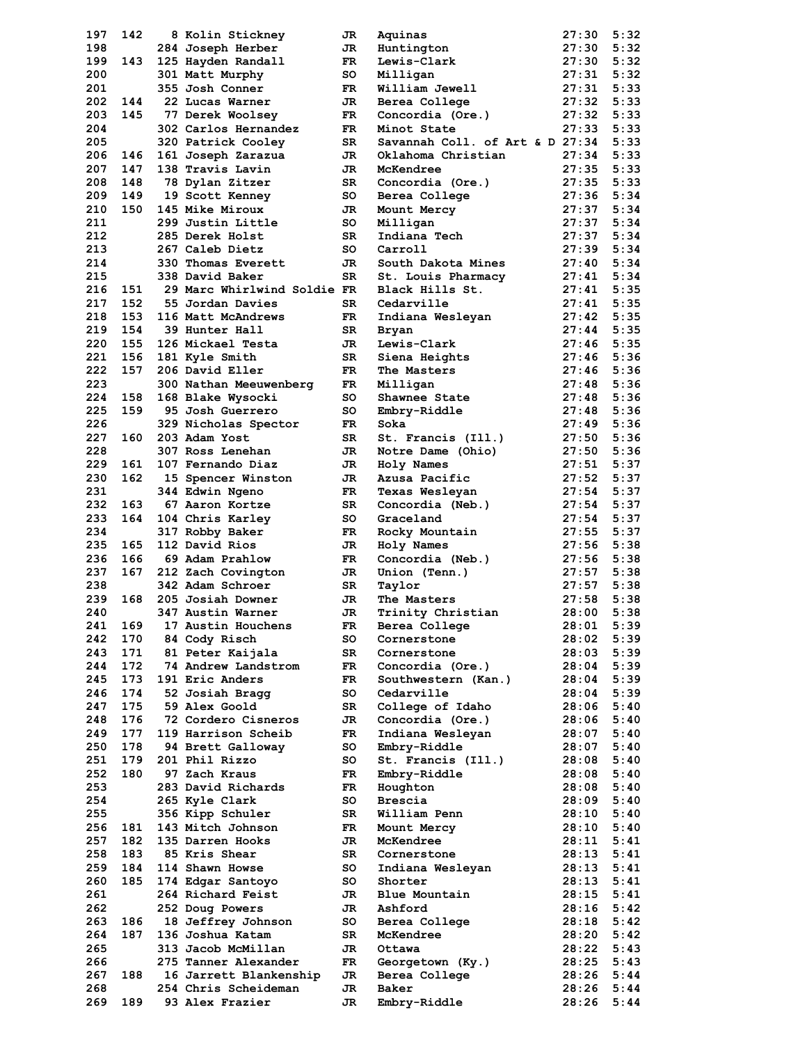| 197 | 142 | 8 Kolin Stickney            | JR  | Aquinas                         | 27:30 | 5:32 |
|-----|-----|-----------------------------|-----|---------------------------------|-------|------|
| 198 |     | 284 Joseph Herber           | JR  | Huntington                      | 27:30 | 5:32 |
| 199 | 143 | 125 Hayden Randall          | FR. | Lewis-Clark                     | 27:30 | 5:32 |
| 200 |     | 301 Matt Murphy             | so  | Milligan                        | 27:31 | 5:32 |
| 201 |     | 355 Josh Conner             | FR  | William Jewell                  | 27:31 | 5:33 |
| 202 | 144 | 22 Lucas Warner             | JR. | Berea College                   | 27:32 | 5:33 |
| 203 | 145 | 77 Derek Woolsey            | FR. | Concordia (Ore.)                | 27:32 | 5:33 |
| 204 |     | 302 Carlos Hernandez        | FR. | Minot State                     | 27:33 | 5:33 |
| 205 |     |                             | SR  | Savannah Coll. of Art & D 27:34 |       | 5:33 |
| 206 |     | 320 Patrick Cooley          |     |                                 |       |      |
|     | 146 | 161 Joseph Zarazua          | JR. | Oklahoma Christian              | 27:34 | 5:33 |
| 207 | 147 | 138 Travis Lavin            | JR. | McKendree                       | 27:35 | 5:33 |
| 208 | 148 | 78 Dylan Zitzer             | SR  | Concordia (Ore.)                | 27:35 | 5:33 |
| 209 | 149 | 19 Scott Kenney             | so  | Berea College                   | 27:36 | 5:34 |
| 210 | 150 | 145 Mike Miroux             | JR  | Mount Mercy                     | 27:37 | 5:34 |
| 211 |     | 299 Justin Little           | so  | Milligan                        | 27:37 | 5:34 |
| 212 |     | 285 Derek Holst             | SR  | Indiana Tech                    | 27:37 | 5:34 |
| 213 |     | 267 Caleb Dietz             | so  | Carroll                         | 27:39 | 5:34 |
| 214 |     | 330 Thomas Everett          | JR  | South Dakota Mines              | 27:40 | 5:34 |
| 215 |     | 338 David Baker             | SR  | St. Louis Pharmacy              | 27:41 | 5:34 |
| 216 | 151 | 29 Marc Whirlwind Soldie FR |     | Black Hills St.                 | 27:41 | 5:35 |
| 217 | 152 | 55 Jordan Davies            | SR  | Cedarville                      | 27:41 | 5:35 |
| 218 | 153 | 116 Matt McAndrews          | FR  | Indiana Wesleyan                | 27:42 | 5:35 |
| 219 | 154 | 39 Hunter Hall              | SR  | Bryan                           | 27:44 | 5:35 |
| 220 | 155 | 126 Mickael Testa           |     |                                 |       | 5:35 |
|     |     |                             | JR  | Lewis-Clark                     | 27:46 |      |
| 221 | 156 | 181 Kyle Smith              | SR  | Siena Heights                   | 27:46 | 5:36 |
| 222 | 157 | 206 David Eller             | FR. | The Masters                     | 27:46 | 5:36 |
| 223 |     | 300 Nathan Meeuwenberg      | FR  | Milligan                        | 27:48 | 5:36 |
| 224 | 158 | 168 Blake Wysocki           | so  | Shawnee State                   | 27:48 | 5:36 |
| 225 | 159 | 95 Josh Guerrero            | so  | Embry-Riddle                    | 27:48 | 5:36 |
| 226 |     | 329 Nicholas Spector        | FR. | Soka                            | 27:49 | 5:36 |
| 227 | 160 | 203 Adam Yost               | SR  | St. Francis (Ill.)              | 27:50 | 5:36 |
| 228 |     | 307 Ross Lenehan            | JR  | Notre Dame (Ohio)               | 27:50 | 5:36 |
| 229 | 161 | 107 Fernando Diaz           | JR  | Holy Names                      | 27:51 | 5:37 |
| 230 | 162 | 15 Spencer Winston          | JR  | Azusa Pacific                   | 27:52 | 5:37 |
| 231 |     | 344 Edwin Ngeno             | FR. | Texas Wesleyan                  | 27:54 | 5:37 |
| 232 | 163 | 67 Aaron Kortze             | SR  | Concordia (Neb.)                | 27:54 | 5:37 |
| 233 | 164 | 104 Chris Karley            | so  | Graceland                       | 27:54 | 5:37 |
|     |     |                             |     |                                 |       |      |
| 234 |     | 317 Robby Baker             | FR. | Rocky Mountain                  | 27:55 | 5:37 |
| 235 | 165 | 112 David Rios              | JR  | Holy Names                      | 27:56 | 5:38 |
| 236 | 166 | 69 Adam Prahlow             | FR. | Concordia (Neb.)                | 27:56 | 5:38 |
| 237 | 167 | 212 Zach Covington          | JR. | Union (Tenn.)                   | 27:57 | 5:38 |
| 238 |     | 342 Adam Schroer            | SR  | Taylor                          | 27:57 | 5:38 |
| 239 | 168 | 205 Josiah Downer           | JR  | The Masters                     | 27:58 | 5:38 |
| 240 |     | 347 Austin Warner           | JR  | Trinity Christian               | 28:00 | 5:38 |
| 241 | 169 | 17 Austin Houchens          | FR  | Berea College                   | 28:01 | 5:39 |
| 242 | 170 | 84 Cody Risch               | so  | Cornerstone                     | 28:02 | 5:39 |
| 243 | 171 | 81 Peter Kaijala            | SR  | Cornerstone                     | 28:03 | 5:39 |
| 244 | 172 | 74 Andrew Landstrom         | FR. | Concordia (Ore.)                | 28:04 | 5:39 |
| 245 | 173 | 191 Eric Anders             | FR  | Southwestern (Kan.)             | 28:04 | 5:39 |
| 246 | 174 | 52 Josiah Bragg             | SO  | Cedarville                      | 28:04 | 5:39 |
|     |     |                             |     |                                 |       |      |
| 247 | 175 | 59 Alex Goold               | SR  | College of Idaho                | 28:06 | 5:40 |
| 248 | 176 | 72 Cordero Cisneros         | JR  | Concordia (Ore.)                | 28:06 | 5:40 |
| 249 | 177 | 119 Harrison Scheib         | FR  | Indiana Wesleyan                | 28:07 | 5:40 |
| 250 | 178 | 94 Brett Galloway           | so  | Embry-Riddle                    | 28:07 | 5:40 |
| 251 | 179 | 201 Phil Rizzo              | so  | St. Francis (Ill.)              | 28:08 | 5:40 |
| 252 | 180 | 97 Zach Kraus               | FR  | Embry-Riddle                    | 28:08 | 5:40 |
| 253 |     | 283 David Richards          | FR  | Houghton                        | 28:08 | 5:40 |
| 254 |     | 265 Kyle Clark              | so  | Brescia                         | 28:09 | 5:40 |
| 255 |     | 356 Kipp Schuler            | SR  | William Penn                    | 28:10 | 5:40 |
| 256 | 181 | 143 Mitch Johnson           | FR  | Mount Mercy                     | 28:10 | 5:40 |
| 257 | 182 | 135 Darren Hooks            | JR. | McKendree                       | 28:11 | 5:41 |
| 258 | 183 | 85 Kris Shear               | SR  | Cornerstone                     | 28:13 | 5:41 |
| 259 | 184 | 114 Shawn Howse             | so  | Indiana Wesleyan                | 28:13 | 5:41 |
|     |     |                             |     |                                 |       |      |
| 260 | 185 | 174 Edgar Santoyo           | so  | Shorter                         | 28:13 | 5:41 |
| 261 |     | 264 Richard Feist           | JR  | <b>Blue Mountain</b>            | 28:15 | 5:41 |
| 262 |     | 252 Doug Powers             | JR  | Ashford                         | 28:16 | 5:42 |
| 263 | 186 | 18 Jeffrey Johnson          | so  | Berea College                   | 28:18 | 5:42 |
| 264 | 187 | 136 Joshua Katam            | SR  | McKendree                       | 28:20 | 5:42 |
| 265 |     | 313 Jacob McMillan          | JR  | Ottawa                          | 28:22 | 5:43 |
| 266 |     | 275 Tanner Alexander        | FR  | Georgetown (Ky.)                | 28:25 | 5:43 |
| 267 | 188 | 16 Jarrett Blankenship      | JR  | Berea College                   | 28:26 | 5:44 |
| 268 |     | 254 Chris Scheideman        | JR  | Baker                           | 28:26 | 5:44 |
| 269 | 189 | 93 Alex Frazier             | JR  | Embry-Riddle                    | 28:26 | 5:44 |
|     |     |                             |     |                                 |       |      |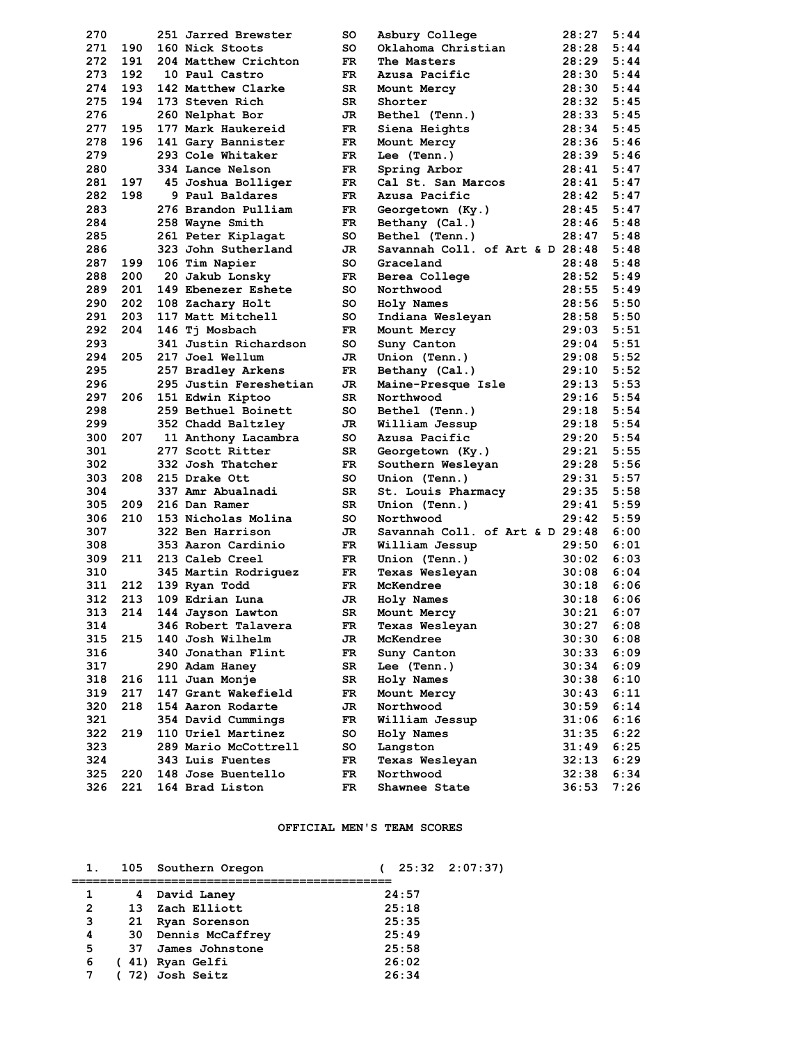| 270 |     | 251 Jarred Brewster     | so  | Asbury College                  | 28:27 | 5:44 |
|-----|-----|-------------------------|-----|---------------------------------|-------|------|
| 271 | 190 | 160 Nick Stoots         | so  | Oklahoma Christian              | 28:28 | 5:44 |
| 272 | 191 | 204 Matthew Crichton    | FR. | The Masters                     | 28:29 | 5:44 |
| 273 | 192 | 10 Paul Castro          | FR. | Azusa Pacific                   | 28:30 | 5:44 |
| 274 | 193 | 142 Matthew Clarke      | SR  | Mount Mercy                     | 28:30 | 5:44 |
| 275 | 194 | 173 Steven Rich         | SR  | Shorter                         | 28:32 | 5:45 |
| 276 |     | 260 Nelphat Bor         | JR  | Bethel (Tenn.)                  | 28:33 | 5:45 |
| 277 | 195 | 177 Mark Haukereid      | FR. | Siena Heights                   | 28:34 | 5:45 |
| 278 | 196 | 141 Gary Bannister      | FR. | Mount Mercy                     | 28:36 | 5:46 |
| 279 |     | 293 Cole Whitaker       | FR. | Lee (Tenn.)                     | 28:39 | 5:46 |
| 280 |     | 334 Lance Nelson        | FR. | Spring Arbor                    | 28:41 | 5:47 |
| 281 | 197 | 45 Joshua Bolliger      | FR. | Cal St. San Marcos              | 28:41 | 5:47 |
| 282 | 198 | 9 Paul Baldares         | FR. | Azusa Pacific                   | 28:42 | 5:47 |
| 283 |     | 276 Brandon Pulliam     | FR. | Georgetown (Ky.)                | 28:45 | 5:47 |
| 284 |     | 258 Wayne Smith         | FR. | Bethany (Cal.)                  | 28:46 | 5:48 |
| 285 |     | 261 Peter Kiplagat      | so  | Bethel (Tenn.)                  | 28:47 | 5:48 |
| 286 |     | 323 John Sutherland     | JR  | Savannah Coll. of Art & D 28:48 |       | 5:48 |
| 287 | 199 | 106 Tim Napier          | so  | Graceland                       | 28:48 | 5:48 |
| 288 | 200 | 20 Jakub Lonsky         | FR. | Berea College                   | 28:52 | 5:49 |
| 289 |     | 201 149 Ebenezer Eshete | so  | Northwood                       | 28:55 | 5:49 |
| 290 | 202 | 108 Zachary Holt        | SO. | Holy Names                      | 28:56 | 5:50 |
| 291 | 203 | 117 Matt Mitchell       | so  | Indiana Wesleyan                | 28:58 | 5:50 |
| 292 | 204 | 146 Tj Mosbach          | FR. | Mount Mercy                     | 29:03 | 5:51 |
| 293 |     | 341 Justin Richardson   | so  | Suny Canton                     | 29:04 | 5:51 |
| 294 | 205 | 217 Joel Wellum         | JR  | Union (Tenn.)                   | 29:08 | 5:52 |
| 295 |     | 257 Bradley Arkens      | FR. | Bethany (Cal.)                  | 29:10 | 5:52 |
| 296 |     | 295 Justin Fereshetian  | JR  | Maine-Presque Isle              | 29:13 | 5:53 |
| 297 | 206 | 151 Edwin Kiptoo        | SR  | Northwood                       | 29:16 | 5:54 |
| 298 |     | 259 Bethuel Boinett     | so  | Bethel (Tenn.)                  | 29:18 | 5:54 |
| 299 |     | 352 Chadd Baltzley      | JR. | William Jessup                  | 29:18 | 5:54 |
| 300 | 207 | 11 Anthony Lacambra     | so  | Azusa Pacific                   | 29:20 | 5:54 |
| 301 |     | 277 Scott Ritter        | SR  | Georgetown (Ky.)                | 29:21 | 5:55 |
| 302 |     | 332 Josh Thatcher       | FR. | Southern Wesleyan               | 29:28 | 5:56 |
| 303 | 208 | 215 Drake Ott           | so  | Union (Tenn.)                   | 29:31 | 5:57 |
| 304 |     | 337 Amr Abualnadi       | SR  | St. Louis Pharmacy              | 29:35 | 5:58 |
| 305 | 209 | 216 Dan Ramer           | SR  | Union (Tenn.)                   | 29:41 | 5:59 |
| 306 | 210 | 153 Nicholas Molina     | so  | Northwood                       | 29:42 | 5:59 |
| 307 |     | 322 Ben Harrison        | JR. | Savannah Coll. of Art & D 29:48 |       | 6:00 |
| 308 |     | 353 Aaron Cardinio      | FR. | William Jessup                  | 29:50 | 6:01 |
| 309 |     | 211 213 Caleb Creel     | FR. | Union (Tenn.)                   | 30:02 | 6:03 |
| 310 |     | 345 Martin Rodriguez    | FR  | Texas Wesleyan                  | 30:08 | 6:04 |
| 311 |     | 212 139 Ryan Todd       | FR. | McKendree                       | 30:18 | 6:06 |
| 312 | 213 | 109 Edrian Luna         | JR  | Holy Names                      | 30:18 | 6:06 |
| 313 | 214 | 144 Jayson Lawton       | SR  | Mount Mercy                     | 30:21 | 6:07 |
| 314 |     | 346 Robert Talavera     | FR  | Texas Wesleyan                  | 30:27 | 6:08 |
| 315 | 215 | 140 Josh Wilhelm        | JR  | McKendree                       | 30:30 | 6:08 |
| 316 |     | 340 Jonathan Flint      | FR  | Suny Canton                     | 30:33 | 6:09 |
| 317 |     | 290 Adam Haney          | SR  | Lee (Tenn.)                     | 30:34 | 6:09 |
| 318 | 216 | 111 Juan Monje          | SR  | Holy Names                      | 30:38 | 6:10 |
| 319 | 217 | 147 Grant Wakefield     | FR  | Mount Mercy                     | 30:43 | 6:11 |
| 320 | 218 | 154 Aaron Rodarte       | JR  | Northwood                       | 30:59 | 6:14 |
| 321 |     | 354 David Cummings      | FR  | William Jessup                  | 31:06 | 6:16 |
| 322 | 219 | 110 Uriel Martinez      | so  | Holy Names                      | 31:35 | 6:22 |
| 323 |     | 289 Mario McCottrell    | so  | Langston                        | 31:49 | 6:25 |
| 324 |     | 343 Luis Fuentes        | FR  | Texas Wesleyan                  | 32:13 | 6:29 |
| 325 | 220 | 148 Jose Buentello      | FR  | Northwood                       | 32:38 | 6:34 |
| 326 | 221 | 164 Brad Liston         | FR  | Shawnee State                   | 36:53 | 7:26 |

# **OFFICIAL MEN'S TEAM SCORES**

|   |     | 105 Southern Oregon | $25:32$ $2:07:37$ |  |
|---|-----|---------------------|-------------------|--|
|   |     |                     |                   |  |
| 1 | 4   | David Laney         | 24:57             |  |
| 2 | 13. | Zach Elliott        | 25:18             |  |
| 3 | 21  | Ryan Sorenson       | 25:35             |  |
| 4 | 30  | Dennis McCaffrey    | 25:49             |  |
| 5 | 37. | James Johnstone     | 25:58             |  |
| 6 |     | (41) Ryan Gelfi     | 26:02             |  |
|   |     | 72) Josh Seitz      | 26:34             |  |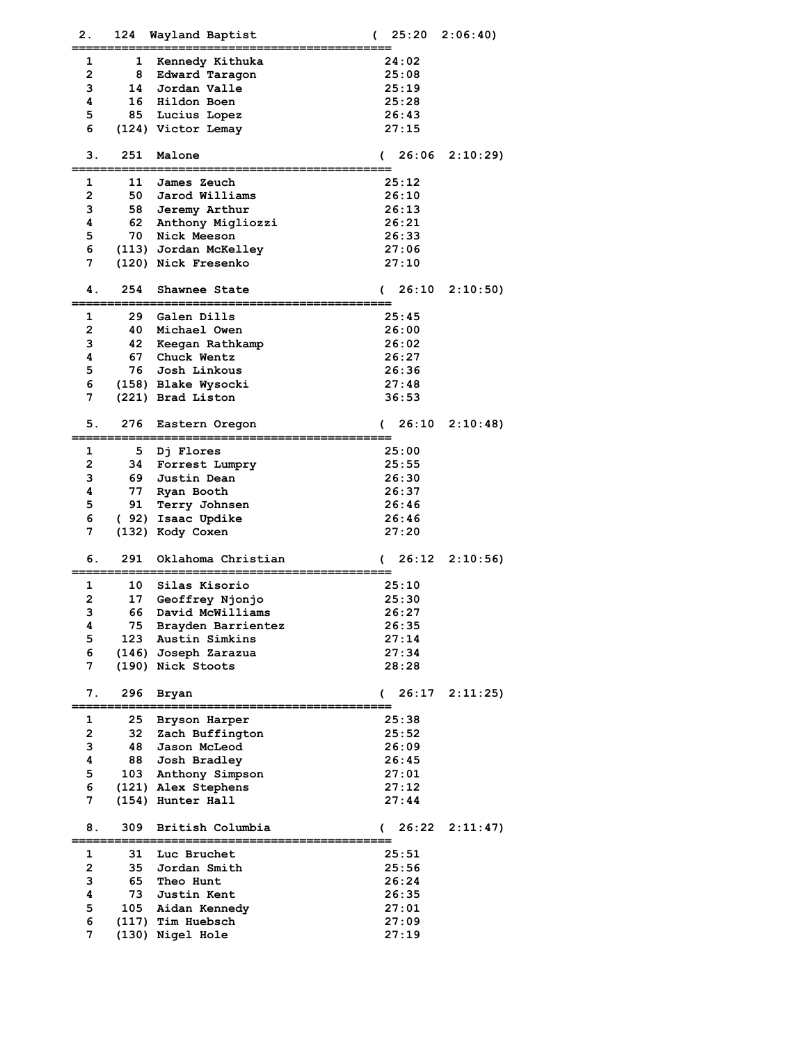| 2. | 124 | Wayland Baptist       | 25:20<br>$\overline{C}$ | 2:06:40 |
|----|-----|-----------------------|-------------------------|---------|
|    |     |                       |                         |         |
| 1  | 1   | Kennedy Kithuka       | 24:02                   |         |
| 2  | 8   | Edward Taragon        | 25:08                   |         |
| з  | 14  | Jordan Valle          | 25:19                   |         |
| 4  | 16  | Hildon Boen           | 25:28                   |         |
| 5  | 85  | Lucius Lopez          | 26:43                   |         |
| 6  |     | (124) Victor Lemay    | 27:15                   |         |
|    |     |                       |                         |         |
| З. | 251 | Malone                | 26:06<br>$\sqrt{2}$     | 2:10:29 |
| 1  | 11  | James Zeuch           | 25:12                   |         |
| 2  | 50  | Jarod Williams        | 26:10                   |         |
| з  |     | 58 Jeremy Arthur      | 26:13                   |         |
| 4  | 62  | Anthony Migliozzi     | 26:21                   |         |
| 5  | 70  | Nick Meeson           | 26:33                   |         |
| 6  |     | (113) Jordan McKelley | 27:06                   |         |
| 7  |     |                       |                         |         |
|    |     | (120) Nick Fresenko   | 27:10                   |         |
| 4. | 254 | Shawnee State         | 26:10<br>$\sqrt{2}$     | 2:10:50 |
|    |     |                       |                         |         |
| 1  | 29  | Galen Dills           | 25:45                   |         |
| 2  | 40  | Michael Owen          | 26:00                   |         |
| 3  | 42  | Keegan Rathkamp       | 26:02                   |         |
| 4  | 67  | Chuck Wentz           | 26:27                   |         |
| 5  | 76  | Josh Linkous          | 26:36                   |         |
| 6  |     | (158) Blake Wysocki   | 27:48                   |         |
| 7  |     | (221) Brad Liston     | 36:53                   |         |
|    |     |                       |                         |         |
| 5. | 276 | Eastern Oregon        | 26:10<br>(              | 2:10:48 |
|    |     |                       |                         |         |
| 1  | 5.  | Dj Flores             | 25:00                   |         |
| 2  | 34  | Forrest Lumpry        | 25:55                   |         |
| з  | 69  | Justin Dean           | 26:30                   |         |
| 4  | 77  | Ryan Booth            | 26:37                   |         |
| 5  | 91  | Terry Johnsen         | 26:46                   |         |
| 6  |     | ( 92) Isaac Updike    | 26:46                   |         |
| 7  |     | (132) Kody Coxen      | 27:20                   |         |
|    |     |                       |                         |         |
| б. | 291 | Oklahoma Christian    | 26:12<br>$\sqrt{2}$     | 2:10:56 |
|    |     |                       |                         |         |
| 1  | 10  | Silas Kisorio         | 25:10                   |         |
| 2  | 17  | Geoffrey Njonjo       | 25:30                   |         |
| 3  | 66  | David McWilliams      | 26:27                   |         |
| 4  | 75  | Brayden Barrientez    | 26:35                   |         |
| 5  | 123 | Austin Simkins        | 27:14                   |         |
| 6  |     | (146) Joseph Zarazua  | 27:34                   |         |
| 7  |     | (190) Nick Stoots     | 28:28                   |         |
|    |     |                       |                         |         |
| 7. | 296 | Bryan                 | 26:17<br>$\mathcal{C}$  | 2:11:25 |
|    |     |                       |                         |         |
| 1  | 25  | Bryson Harper         | 25:38                   |         |
| 2  | 32  | Zach Buffington       | 25:52                   |         |
| 3  | 48  | Jason McLeod          | 26:09                   |         |
| 4  | 88  | Josh Bradley          | 26:45                   |         |
| 5  | 103 | Anthony Simpson       | 27:01                   |         |
| 6  |     | (121) Alex Stephens   | 27:12                   |         |
| 7  |     | (154) Hunter Hall     | 27:44                   |         |
| 8. | 309 | British Columbia      | 26:22<br>€              | 2:11:47 |
|    |     |                       |                         |         |
| 1  | 31  | Luc Bruchet           | 25:51                   |         |
| 2  | 35  | Jordan Smith          | 25:56                   |         |
| 3  | 65  | Theo Hunt             | 26:24                   |         |
| 4  | 73  | Justin Kent           | 26:35                   |         |
| 5  | 105 | Aidan Kennedy         | 27:01                   |         |
| 6  |     | (117) Tim Huebsch     | 27:09                   |         |
| 7  |     | (130) Nigel Hole      | 27:19                   |         |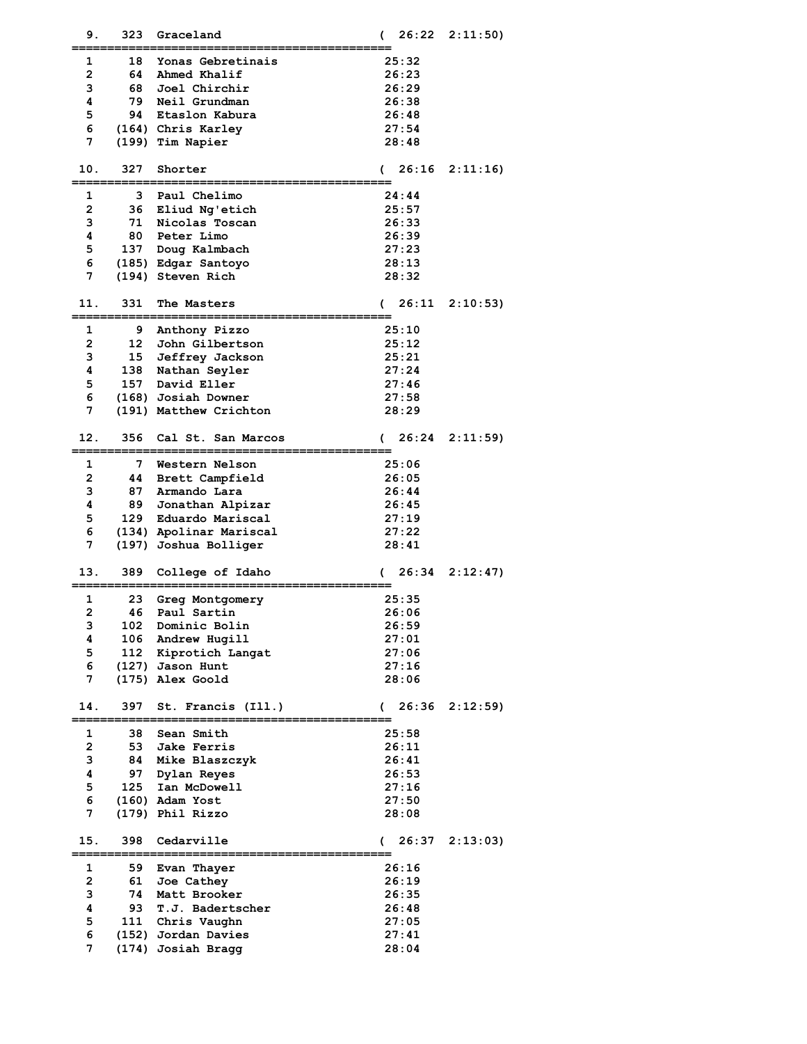| 9.             | 323              | Graceland                   | 26:22<br>€     | 2:11:50) |
|----------------|------------------|-----------------------------|----------------|----------|
| 1              | 18               | Yonas Gebretinais           | 25:32          |          |
| 2              | 64               | Ahmed Khalif                | 26:23          |          |
| з              | 68               | Joel Chirchir               | 26:29          |          |
| 4              | 79.              | Neil Grundman               | 26:38          |          |
| 5              |                  | 94 Etaslon Kabura           | 26:48          |          |
| 6              |                  | (164) Chris Karley          | 27:54          |          |
| 7              |                  | (199) Tim Napier            | 28:48          |          |
|                |                  |                             |                |          |
| 10.            | 327              | Shorter                     | 26:16<br>€     | 2:11:16  |
| 1              | 3                | Paul Chelimo                | 24:44          |          |
| $\overline{2}$ | 36               | Eliud Ng'etich              | 25:57          |          |
| з              | 71               | Nicolas Toscan              | 26:33          |          |
| 4              | 80               | Peter Limo                  | 26:39          |          |
| 5              |                  | 137 Doug Kalmbach           | 27:23          |          |
| 6              |                  | (185) Edgar Santoyo         | 28:13          |          |
| 7              |                  | (194) Steven Rich           | 28:32          |          |
|                |                  |                             |                |          |
| 11.            | 331              | The Masters                 | 26:11<br>€     | 2:10:53  |
| 1              | 9                | Anthony Pizzo               | 25:10          |          |
| $\mathbf{2}$   | 12 <sup>12</sup> | John Gilbertson             | 25:12          |          |
| 3              | 15               | Jeffrey Jackson             | 25:21          |          |
| 4              | 138              | Nathan Seyler               | 27:24          |          |
| 5              |                  | 157 David Eller             | 27:46          |          |
| 6              |                  | (168) Josiah Downer         | 27:58          |          |
| 7              |                  | (191) Matthew Crichton      | 28:29          |          |
|                |                  |                             |                |          |
| 12.            | 356              | Cal St. San Marcos          | 26:24          | 2:11:59  |
| 1              | 7                | Western Nelson              | 25:06          |          |
| $\mathbf{2}$   | 44               | Brett Campfield             | 26:05          |          |
| з              | 87               | Armando Lara                | 26:44          |          |
| 4              | 89               | Jonathan Alpizar            | 26:45          |          |
| 5              | 129              | Eduardo Mariscal            | 27:19          |          |
| 6              |                  | (134) Apolinar Mariscal     | 27:22          |          |
| 7              |                  | (197) Joshua Bolliger       | 28:41          |          |
| 13.            | 389              | College of Idaho            | 26:34<br>€     | 2:12:47  |
|                |                  |                             |                |          |
| 1              | 23               | Greg Montgomery             | 25:35          |          |
| 2              | 46               | Paul Sartin                 | 26:06          |          |
| з              | 102              | Dominic Bolin               | 26:59          |          |
| 4              | 106              | Andrew Hugill               | 27:01          |          |
| 5              | 112              | Kiprotich Langat            | 27:06          |          |
| 6              |                  | (127) Jason Hunt            | 27:16          |          |
| 7              |                  | (175) Alex Goold            | 28:06          |          |
| 14.            | 397              | St. Francis (Ill.)          | 26:36<br>€     | 2:12:59  |
|                |                  |                             |                |          |
| 1              | 38               | Sean Smith                  | 25:58          |          |
| 2              | 53               | <b>Jake Ferris</b>          | 26:11          |          |
| 3              | 84               | Mike Blaszczyk              | 26:41          |          |
| 4<br>5         | 97<br>125        | Dylan Reyes<br>Ian McDowell | 26:53          |          |
| 6              |                  | $(160)$ Adam Yost           | 27:16<br>27:50 |          |
| 7              |                  | (179) Phil Rizzo            | 28:08          |          |
|                |                  |                             |                |          |
| 15.            | 398              | Cedarville                  | 26:37<br>€     | 2:13:03  |
| 1              | 59               | Evan Thayer                 | 26:16          |          |
| 2              | 61               | Joe Cathey                  | 26:19          |          |
| 3              | 74               | Matt Brooker                | 26:35          |          |
| 4              | 93               | T.J. Badertscher            | 26:48          |          |
| 5              | 111              | Chris Vaughn                | 27:05          |          |
| 6              |                  | (152) Jordan Davies         | 27:41          |          |
| 7              |                  | (174) Josiah Bragg          | 28:04          |          |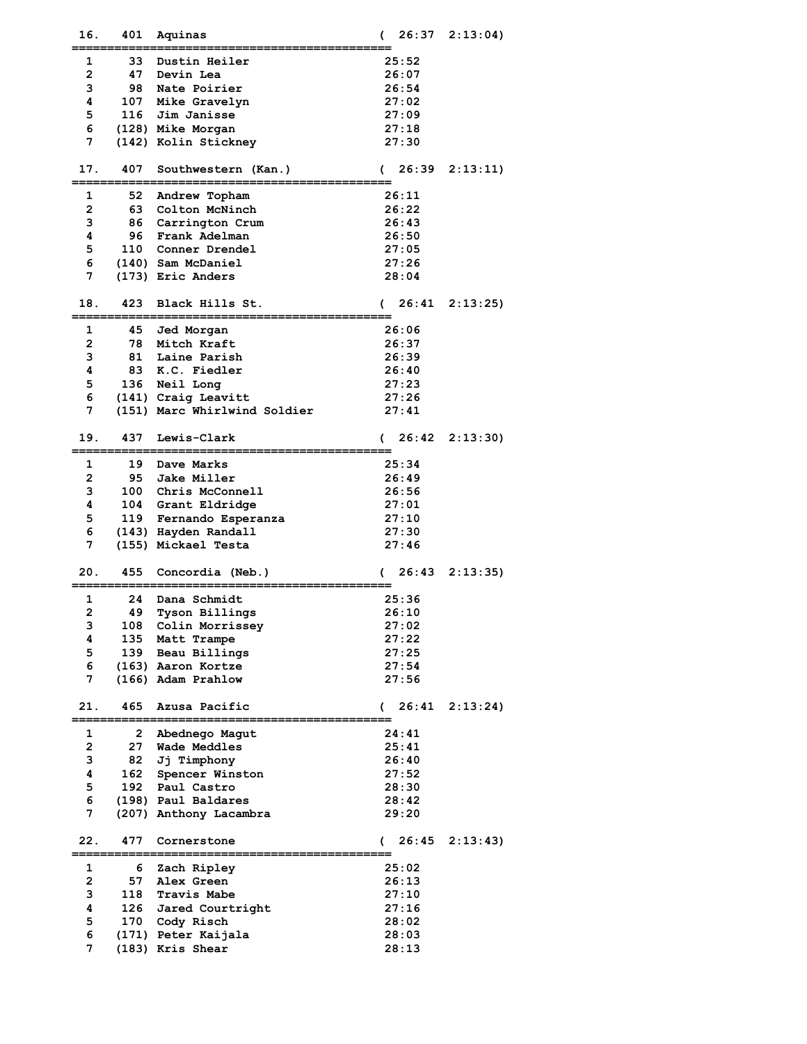| 16.            | 401  | Aquinas                       | 26:37               | 2:13:04 |
|----------------|------|-------------------------------|---------------------|---------|
| 1              | 33   | Dustin Heiler                 | 25:52               |         |
| $\overline{2}$ |      | 47 Devin Lea                  | 26:07               |         |
| 3              | 98.  | Nate Poirier                  | 26:54               |         |
| 4              |      | 107 Mike Gravelyn             | 27:02               |         |
| 5              |      | 116 Jim Janisse               | 27:09               |         |
|                |      |                               |                     |         |
| 6              |      | (128) Mike Morgan             | 27:18               |         |
| 7              |      | (142) Kolin Stickney          | 27:30               |         |
|                |      |                               |                     |         |
| 17.            | 407  | Southwestern (Kan.)           | 26:39<br>€          | 2:13:11 |
|                |      |                               |                     |         |
| 1              | 52   | Andrew Topham                 | 26:11               |         |
| $\overline{2}$ | 63 — | Colton McNinch                | 26:22               |         |
| 3              |      | 86 Carrington Crum            | 26:43               |         |
| 4              | 96   | Frank Adelman                 | 26:50               |         |
| 5              |      | 110 Conner Drendel            | 27:05               |         |
| 6              |      | (140) Sam McDaniel            | 27:26               |         |
| 7              |      | (173) Eric Anders             | 28:04               |         |
|                |      |                               |                     |         |
| 18.            | 423  | Black Hills St.               | 26:41<br>€          | 2:13:25 |
|                |      |                               |                     |         |
| 1              | 45   | Jed Morgan                    | 26:06               |         |
| $\overline{2}$ |      | 78 Mitch Kraft                | 26:37               |         |
| 3              |      | 81 Laine Parish               | 26:39               |         |
| 4              |      | 83 K.C. Fiedler               | 26:40               |         |
| 5              |      | 136 Neil Long                 | 27:23               |         |
| 6              |      | (141) Craig Leavitt           | 27:26               |         |
| 7              |      | (151) Marc Whirlwind Soldier  | 27:41               |         |
|                |      |                               |                     |         |
| 19.            | 437  | Lewis-Clark                   | 26:42<br>€          | 2:13:30 |
|                |      |                               |                     |         |
| 1              |      | 19 Dave Marks                 | 25:34               |         |
| $\overline{2}$ |      | 95 Jake Miller                | 26:49               |         |
| 3              |      | 100 Chris McConnell           | 26:56               |         |
| 4              |      | 104 Grant Eldridge            | 27:01               |         |
|                |      |                               |                     |         |
| 5              |      | 119 Fernando Esperanza        | 27:10               |         |
| 6              |      | (143) Hayden Randall          | 27:30               |         |
| 7              |      | (155) Mickael Testa           | 27:46               |         |
|                |      |                               |                     |         |
| 20.            | 455  | Concordia (Neb.)              | 26:43               | 2:13:35 |
| 1              | 24   | Dana Schmidt                  | 25:36               |         |
| 2              | 49   |                               |                     |         |
|                |      | Tyson Billings                | 26:10               |         |
| з              |      | 108 Colin Morrissey           | 27:02               |         |
| 4              |      | 135 Matt Trampe               | 27:22               |         |
| 5              |      | 139 Beau Billings             | 27:25               |         |
| 6              |      | (163) Aaron Kortze            | 27:54               |         |
| 7              |      | (166) Adam Prahlow            | 27:56               |         |
|                |      |                               |                     |         |
| 21.            | 465  | Azusa Pacific                 | 26:41<br>(          | 2:13:24 |
| 1              | 2    |                               | 24:41               |         |
|                |      | Abednego Magut                |                     |         |
| 2              |      | 27 Wade Meddles               | 25:41               |         |
| 3              |      | 82 Jj Timphony                | 26:40               |         |
| 4              |      | 162 Spencer Winston           | 27:52               |         |
| 5              | 192  | Paul Castro                   | 28:30               |         |
| 6              |      | (198) Paul Baldares           | 28:42               |         |
| 7              |      | (207) Anthony Lacambra        | 29:20               |         |
|                |      |                               |                     |         |
| 22.            | 477  | Cornerstone                   | 26:45<br>$\sqrt{2}$ | 2:13:43 |
|                |      | <u> :====================</u> |                     |         |
| 1              | 6    | Zach Ripley                   | 25:02               |         |
| 2              | 57   | Alex Green                    | 26:13               |         |
| 3              |      | 118 Travis Mabe               | 27:10               |         |
| 4              |      | 126 Jared Courtright          | 27:16               |         |
| 5              |      | 170 Cody Risch                | 28:02               |         |
| 6              |      | (171) Peter Kaijala           | 28:03               |         |
| 7              |      | (183) Kris Shear              | 28:13               |         |
|                |      |                               |                     |         |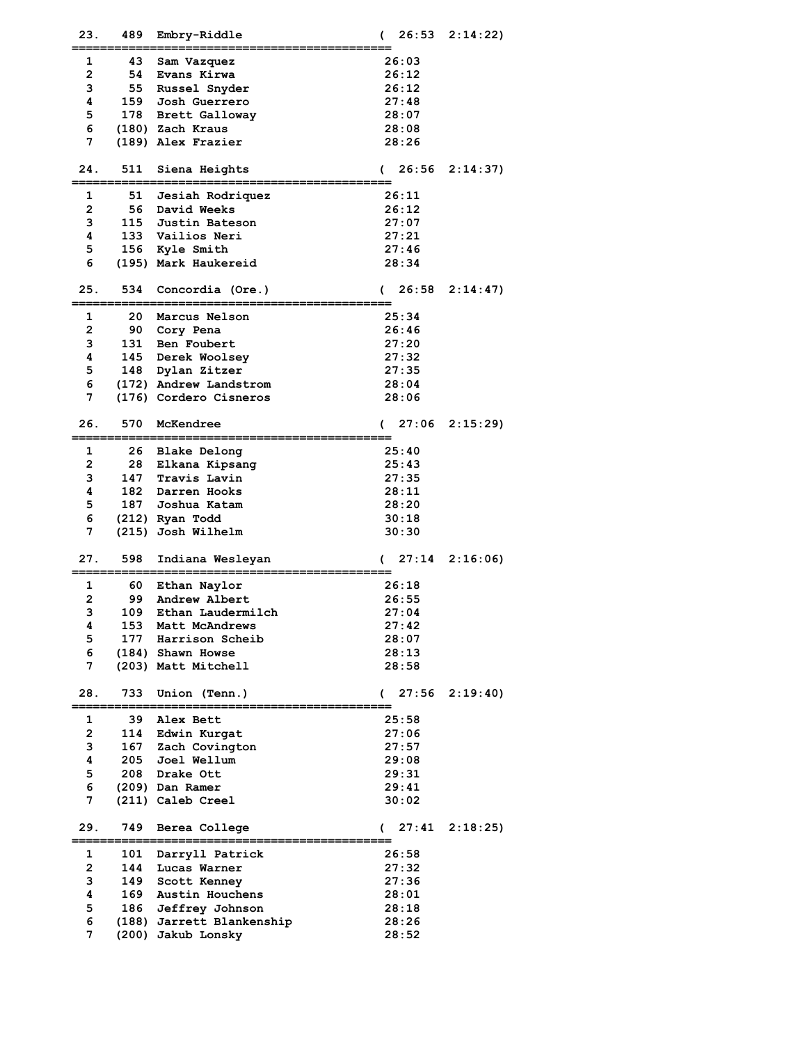| 23.            | 489       | Embry-Riddle              | €             | 26:53 | 2:14:22 |
|----------------|-----------|---------------------------|---------------|-------|---------|
| 1              | 43        | Sam Vazquez               |               | 26:03 |         |
| 2              | 54        | Evans Kirwa               |               | 26:12 |         |
| 3              | 55        | Russel Snyder             |               | 26:12 |         |
| 4              | 159       | Josh Guerrero             |               | 27:48 |         |
| 5              |           | 178 Brett Galloway        |               | 28:07 |         |
| 6              |           | (180) Zach Kraus          |               | 28:08 |         |
| 7              |           | (189) Alex Frazier        |               | 28:26 |         |
|                |           |                           |               |       |         |
| 24.            | 511       | Siena Heights             | €             | 26:56 | 2:14:37 |
|                |           |                           |               |       |         |
| 1              | 51        | Jesiah Rodriquez          |               | 26:11 |         |
| 2              | 56        | David Weeks               |               | 26:12 |         |
| 3              |           | 115 Justin Bateson        |               | 27:07 |         |
| 4              |           | 133 Vailios Neri          |               | 27:21 |         |
| 5              |           | 156 Kyle Smith            |               | 27:46 |         |
| 6              |           | (195) Mark Haukereid      |               | 28:34 |         |
|                |           |                           |               |       |         |
| 25.            | 534       | Concordia (Ore.)          | €             | 26:58 | 2:14:47 |
|                |           |                           |               |       |         |
| 1              | 20        | Marcus Nelson             |               | 25:34 |         |
| 2              |           | 90 Cory Pena              |               | 26:46 |         |
| з              |           | 131 Ben Foubert           |               | 27:20 |         |
| 4              |           | 145 Derek Woolsey         |               | 27:32 |         |
| 5              |           | 148 Dylan Zitzer          |               | 27:35 |         |
| 6              |           | (172) Andrew Landstrom    |               | 28:04 |         |
| 7              |           | (176) Cordero Cisneros    |               | 28:06 |         |
|                |           |                           |               |       |         |
| 26.            | 570       | McKendree                 | $\mathcal{C}$ | 27:06 | 2:15:29 |
|                |           |                           |               |       |         |
| 1              | 26.       | Blake Delong              |               | 25:40 |         |
| $\overline{2}$ | 28        | Elkana Kipsang            |               | 25:43 |         |
| з              | 147       | Travis Lavin              |               | 27:35 |         |
| 4              |           | 182 Darren Hooks          |               | 28:11 |         |
| 5              |           | 187 Joshua Katam          |               | 28:20 |         |
| 6              |           | (212) Ryan Todd           |               | 30:18 |         |
| 7              |           | (215) Josh Wilhelm        |               | 30:30 |         |
|                |           |                           |               |       |         |
| 27.            | 598       | Indiana Wesleyan          | €             | 27:14 | 2:16:06 |
|                |           |                           |               |       |         |
| 1<br>2         | 60.<br>99 | Ethan Naylor              |               | 26:18 |         |
|                |           | Andrew Albert             |               | 26:55 |         |
| з              | 109       | Ethan Laudermilch         |               | 27:04 |         |
| 4              | 153       | Matt McAndrews            |               | 27:42 |         |
| 5              |           | 177 Harrison Scheib       |               | 28:07 |         |
| 6              |           | (184) Shawn Howse         |               | 28:13 |         |
| 7              |           | (203) Matt Mitchell       |               | 28:58 |         |
| 28.            | 733       | Union (Tenn.)             | $\epsilon$    | 27:56 | 2:19:40 |
|                |           |                           |               |       |         |
| 1              | 39        | Alex Bett                 |               | 25:58 |         |
| $\mathbf{2}$   | 114       | Edwin Kurgat              |               | 27:06 |         |
| 3              | 167       | Zach Covington            |               | 27:57 |         |
| 4              | 205       | Joel Wellum               |               | 29:08 |         |
| 5              | 208       | Drake Ott                 |               | 29:31 |         |
| 6              |           | (209) Dan Ramer           |               | 29:41 |         |
| 7              |           | (211) Caleb Creel         |               | 30:02 |         |
|                |           |                           |               |       |         |
| 29.            | 749       | Berea College             | $\left($      | 27:41 | 2:18:25 |
| 1              | 101       | Darryll Patrick           |               | 26:58 |         |
| $\overline{2}$ | 144       | Lucas Warner              |               | 27:32 |         |
| 3              | 149       | Scott Kenney              |               | 27:36 |         |
| 4              | 169       | Austin Houchens           |               | 28:01 |         |
| 5              | 186       | Jeffrey Johnson           |               | 28:18 |         |
| 6              |           | (188) Jarrett Blankenship |               | 28:26 |         |
| 7              |           | (200) Jakub Lonsky        |               | 28:52 |         |
|                |           |                           |               |       |         |